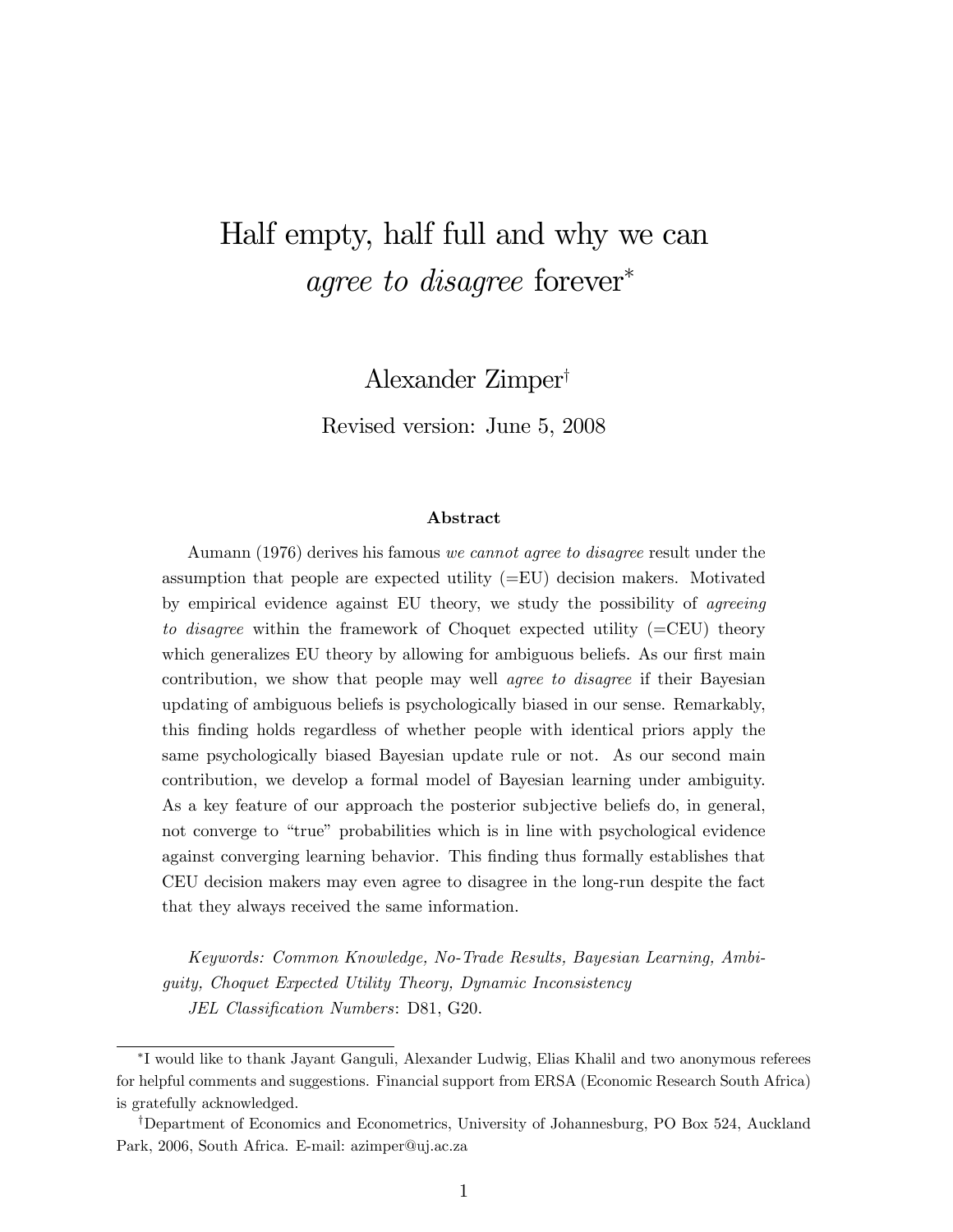# Half empty, half full and why we can agree to disagree forever

Alexander  $Z$ imper<sup>†</sup>

Revised version: June 5, 2008

#### Abstract

Aumann (1976) derives his famous we cannot agree to disagree result under the assumption that people are expected utility (=EU) decision makers. Motivated by empirical evidence against EU theory, we study the possibility of *agreeing* to disagree within the framework of Choquet expected utility  $(=CEU)$  theory which generalizes EU theory by allowing for ambiguous beliefs. As our first main contribution, we show that people may well *agree to disagree* if their Bayesian updating of ambiguous beliefs is psychologically biased in our sense. Remarkably, this Önding holds regardless of whether people with identical priors apply the same psychologically biased Bayesian update rule or not. As our second main contribution, we develop a formal model of Bayesian learning under ambiguity. As a key feature of our approach the posterior subjective beliefs do, in general, not converge to "true" probabilities which is in line with psychological evidence against converging learning behavior. This Önding thus formally establishes that CEU decision makers may even agree to disagree in the long-run despite the fact that they always received the same information.

Keywords: Common Knowledge, No-Trade Results, Bayesian Learning, Ambiguity, Choquet Expected Utility Theory, Dynamic Inconsistency JEL Classification Numbers: D81, G20.

I would like to thank Jayant Ganguli, Alexander Ludwig, Elias Khalil and two anonymous referees for helpful comments and suggestions. Financial support from ERSA (Economic Research South Africa) is gratefully acknowledged.

<sup>&</sup>lt;sup>†</sup>Department of Economics and Econometrics, University of Johannesburg, PO Box 524, Auckland Park, 2006, South Africa. E-mail: azimper@uj.ac.za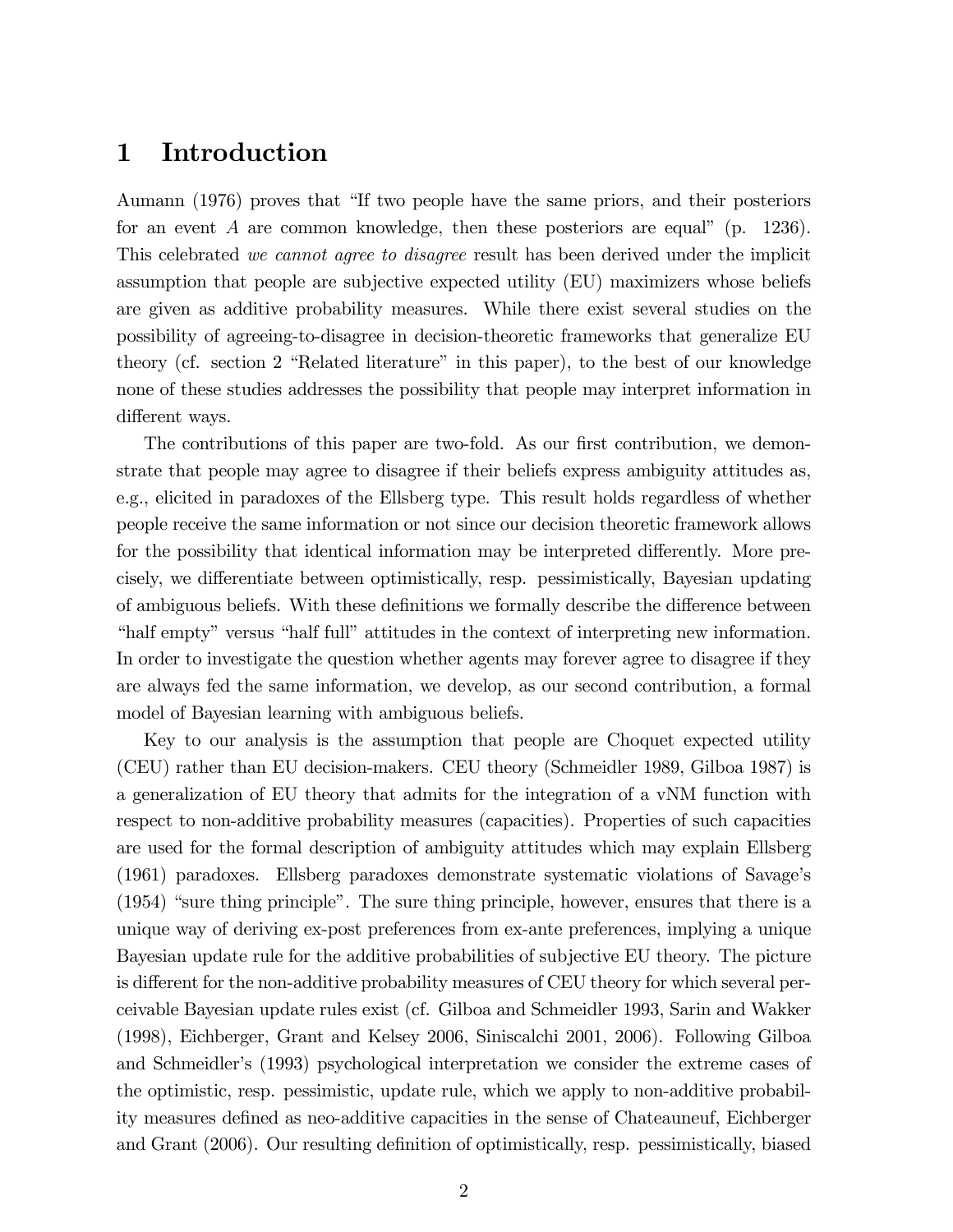# 1 Introduction

Aumann (1976) proves that "If two people have the same priors, and their posteriors for an event A are common knowledge, then these posteriors are equal<sup>?</sup> (p. 1236). This celebrated we cannot agree to disagree result has been derived under the implicit assumption that people are subjective expected utility (EU) maximizers whose beliefs are given as additive probability measures. While there exist several studies on the possibility of agreeing-to-disagree in decision-theoretic frameworks that generalize EU theory (cf. section 2 "Related literature" in this paper), to the best of our knowledge none of these studies addresses the possibility that people may interpret information in different ways.

The contributions of this paper are two-fold. As our first contribution, we demonstrate that people may agree to disagree if their beliefs express ambiguity attitudes as, e.g., elicited in paradoxes of the Ellsberg type. This result holds regardless of whether people receive the same information or not since our decision theoretic framework allows for the possibility that identical information may be interpreted differently. More precisely, we differentiate between optimistically, resp. pessimistically, Bayesian updating of ambiguous beliefs. With these definitions we formally describe the difference between "half empty" versus "half full" attitudes in the context of interpreting new information. In order to investigate the question whether agents may forever agree to disagree if they are always fed the same information, we develop, as our second contribution, a formal model of Bayesian learning with ambiguous beliefs.

Key to our analysis is the assumption that people are Choquet expected utility (CEU) rather than EU decision-makers. CEU theory (Schmeidler 1989, Gilboa 1987) is a generalization of EU theory that admits for the integration of a vNM function with respect to non-additive probability measures (capacities). Properties of such capacities are used for the formal description of ambiguity attitudes which may explain Ellsberg (1961) paradoxes. Ellsberg paradoxes demonstrate systematic violations of Savageís  $(1954)$  "sure thing principle". The sure thing principle, however, ensures that there is a unique way of deriving ex-post preferences from ex-ante preferences, implying a unique Bayesian update rule for the additive probabilities of subjective EU theory. The picture is different for the non-additive probability measures of CEU theory for which several perceivable Bayesian update rules exist (cf. Gilboa and Schmeidler 1993, Sarin and Wakker (1998), Eichberger, Grant and Kelsey 2006, Siniscalchi 2001, 2006). Following Gilboa and Schmeidler's (1993) psychological interpretation we consider the extreme cases of the optimistic, resp. pessimistic, update rule, which we apply to non-additive probability measures deÖned as neo-additive capacities in the sense of Chateauneuf, Eichberger and Grant (2006). Our resulting definition of optimistically, resp. pessimistically, biased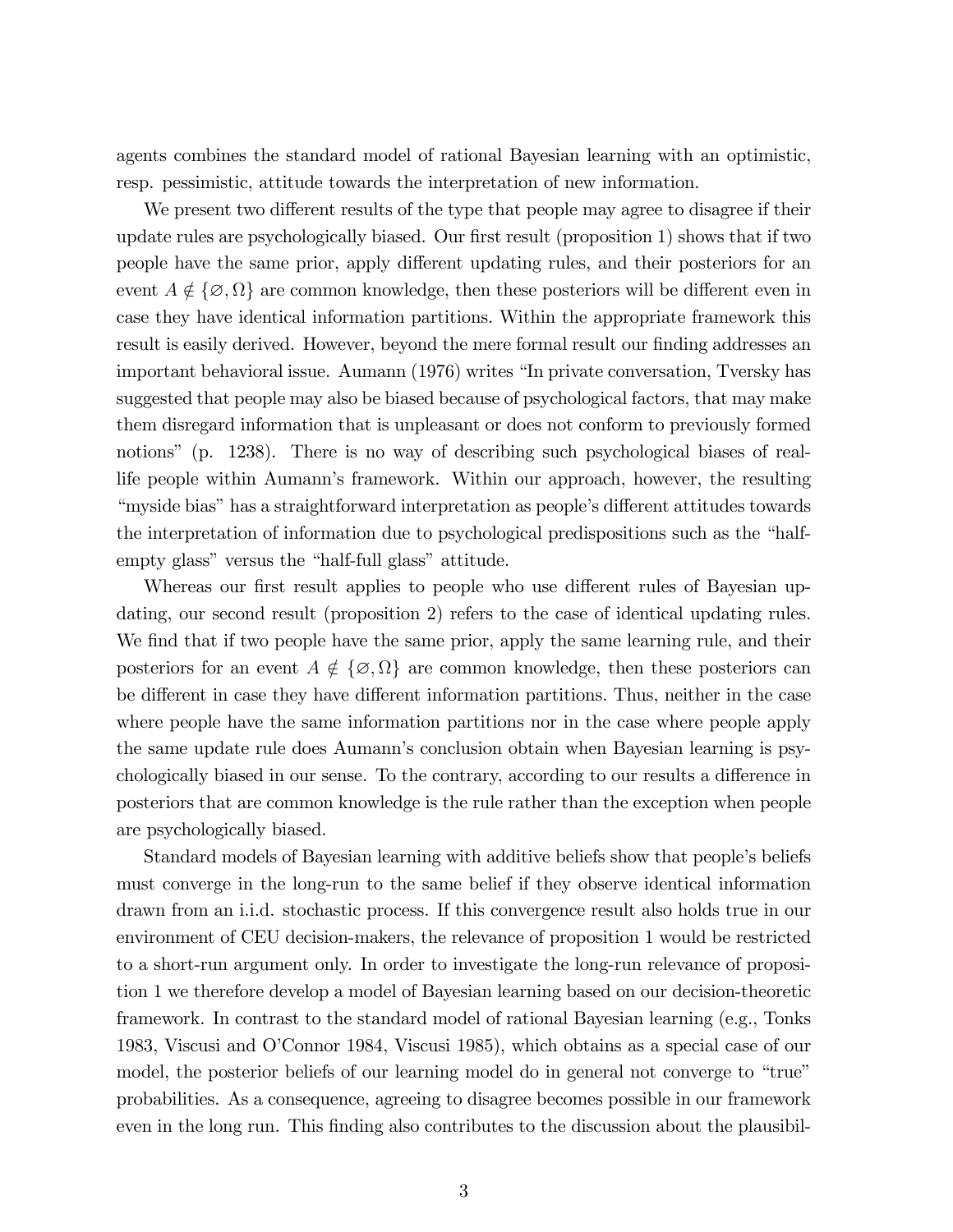agents combines the standard model of rational Bayesian learning with an optimistic, resp. pessimistic, attitude towards the interpretation of new information.

We present two different results of the type that people may agree to disagree if their update rules are psychologically biased. Our first result (proposition 1) shows that if two people have the same prior, apply different updating rules, and their posteriors for an event  $A \notin \{\emptyset, \Omega\}$  are common knowledge, then these posteriors will be different even in case they have identical information partitions. Within the appropriate framework this result is easily derived. However, beyond the mere formal result our finding addresses an important behavioral issue. Aumann (1976) writes "In private conversation, Tversky has suggested that people may also be biased because of psychological factors, that may make them disregard information that is unpleasant or does not conform to previously formed notions" (p. 1238). There is no way of describing such psychological biases of reallife people within Aumann's framework. Within our approach, however, the resulting ìmyside biasîhas a straightforward interpretation as peopleís di§erent attitudes towards the interpretation of information due to psychological predispositions such as the "halfempty glass" versus the "half-full glass" attitude.

Whereas our first result applies to people who use different rules of Bayesian updating, our second result (proposition 2) refers to the case of identical updating rules. We find that if two people have the same prior, apply the same learning rule, and their posteriors for an event  $A \notin \{\emptyset, \Omega\}$  are common knowledge, then these posteriors can be different in case they have different information partitions. Thus, neither in the case where people have the same information partitions nor in the case where people apply the same update rule does Aumann's conclusion obtain when Bayesian learning is psychologically biased in our sense. To the contrary, according to our results a difference in posteriors that are common knowledge is the rule rather than the exception when people are psychologically biased.

Standard models of Bayesian learning with additive beliefs show that people's beliefs must converge in the long-run to the same belief if they observe identical information drawn from an i.i.d. stochastic process. If this convergence result also holds true in our environment of CEU decision-makers, the relevance of proposition 1 would be restricted to a short-run argument only. In order to investigate the long-run relevance of proposition 1 we therefore develop a model of Bayesian learning based on our decision-theoretic framework. In contrast to the standard model of rational Bayesian learning (e.g., Tonks 1983, Viscusi and O'Connor 1984, Viscusi 1985), which obtains as a special case of our model, the posterior beliefs of our learning model do in general not converge to "true" probabilities. As a consequence, agreeing to disagree becomes possible in our framework even in the long run. This finding also contributes to the discussion about the plausibil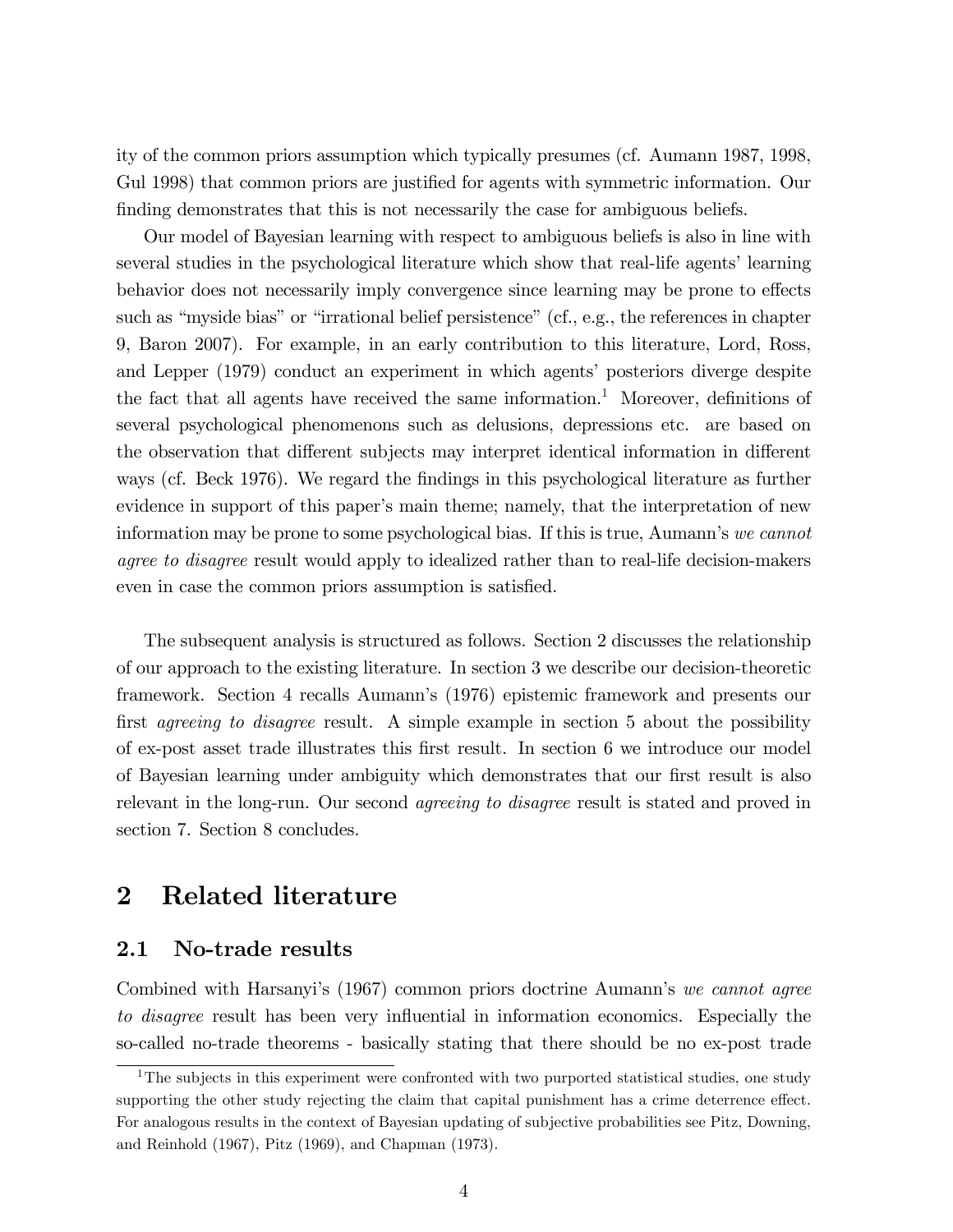ity of the common priors assumption which typically presumes (cf. Aumann 1987, 1998, Gul 1998) that common priors are justified for agents with symmetric information. Our finding demonstrates that this is not necessarily the case for ambiguous beliefs.

Our model of Bayesian learning with respect to ambiguous beliefs is also in line with several studies in the psychological literature which show that real-life agents' learning behavior does not necessarily imply convergence since learning may be prone to effects such as "myside bias" or "irrational belief persistence" (cf., e.g., the references in chapter 9, Baron 2007). For example, in an early contribution to this literature, Lord, Ross, and Lepper (1979) conduct an experiment in which agents' posteriors diverge despite the fact that all agents have received the same information.<sup>1</sup> Moreover, definitions of several psychological phenomenons such as delusions, depressions etc. are based on the observation that different subjects may interpret identical information in different ways (cf. Beck 1976). We regard the findings in this psychological literature as further evidence in support of this paper's main theme; namely, that the interpretation of new information may be prone to some psychological bias. If this is true, Aumann's we cannot *agree to disagree* result would apply to idealized rather than to real-life decision-makers even in case the common priors assumption is satisfied.

The subsequent analysis is structured as follows. Section 2 discusses the relationship of our approach to the existing literature. In section 3 we describe our decision-theoretic framework. Section 4 recalls Aumann's (1976) epistemic framework and presents our first *agreeing to disagree* result. A simple example in section 5 about the possibility of ex-post asset trade illustrates this first result. In section 6 we introduce our model of Bayesian learning under ambiguity which demonstrates that our first result is also relevant in the long-run. Our second *agreeing to disagree* result is stated and proved in section 7. Section 8 concludes.

#### **Related literature**  $\overline{2}$

#### 2.1 No-trade results

Combined with Harsanyi's (1967) common priors doctrine Aumann's we cannot agree to disagree result has been very influential in information economics. Especially the so-called no-trade theorems - basically stating that there should be no ex-post trade

<sup>&</sup>lt;sup>1</sup>The subjects in this experiment were confronted with two purported statistical studies, one study supporting the other study rejecting the claim that capital punishment has a crime deterrence effect. For analogous results in the context of Bayesian updating of subjective probabilities see Pitz, Downing, and Reinhold (1967), Pitz (1969), and Chapman (1973).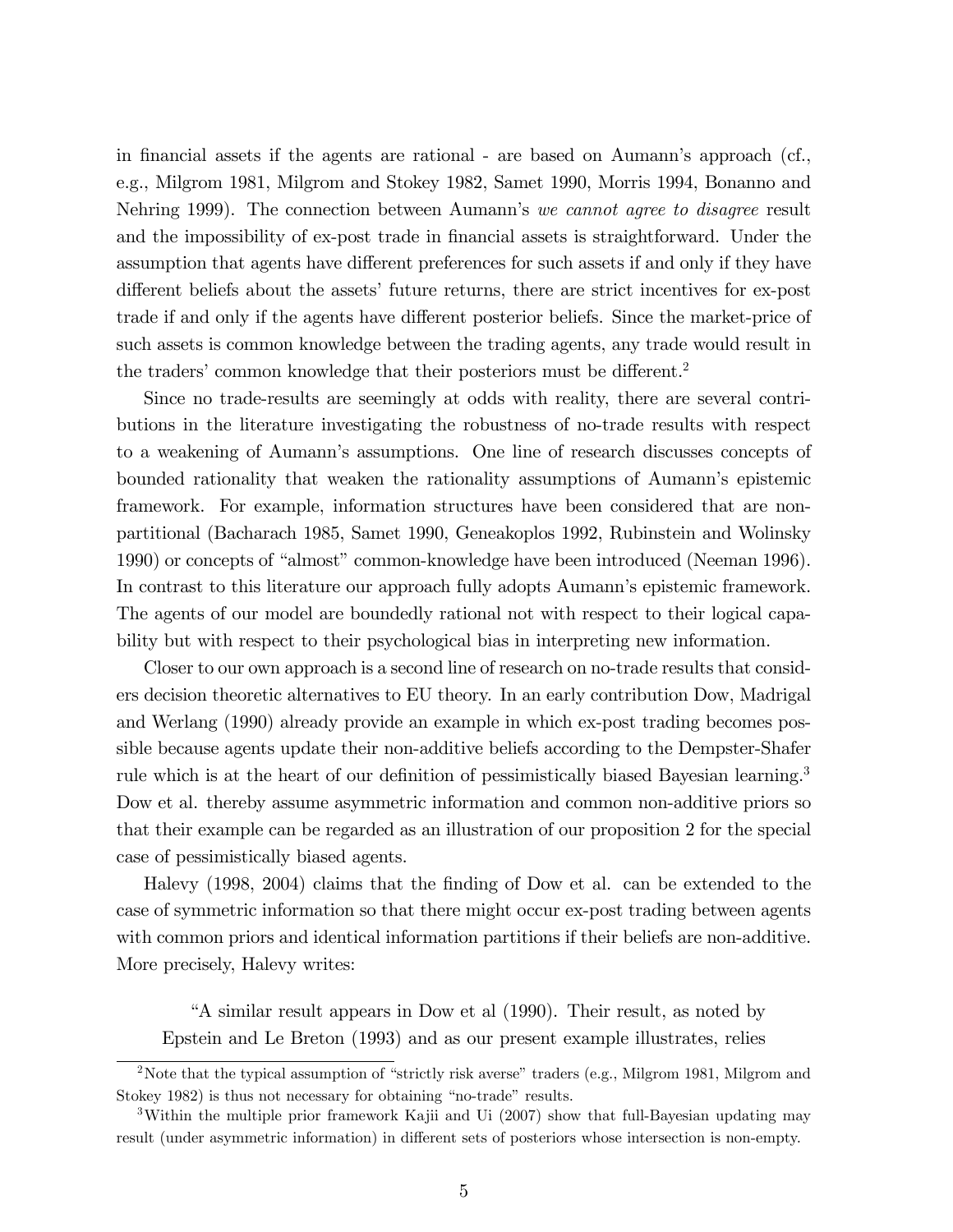in financial assets if the agents are rational - are based on Aumann's approach (cf., e.g., Milgrom 1981, Milgrom and Stokey 1982, Samet 1990, Morris 1994, Bonanno and Nehring 1999). The connection between Aumann's we cannot agree to disagree result and the impossibility of ex-post trade in financial assets is straightforward. Under the assumption that agents have different preferences for such assets if and only if they have different beliefs about the assets' future returns, there are strict incentives for ex-post trade if and only if the agents have different posterior beliefs. Since the market-price of such assets is common knowledge between the trading agents, any trade would result in the traders' common knowledge that their posteriors must be different.<sup>2</sup>

Since no trade-results are seemingly at odds with reality, there are several contributions in the literature investigating the robustness of no-trade results with respect to a weakening of Aumann's assumptions. One line of research discusses concepts of bounded rationality that weaken the rationality assumptions of Aumann's epistemic framework. For example, information structures have been considered that are nonpartitional (Bacharach 1985, Samet 1990, Geneakoplos 1992, Rubinstein and Wolinsky 1990) or concepts of "almost" common-knowledge have been introduced (Neeman 1996). In contrast to this literature our approach fully adopts Aumann's epistemic framework. The agents of our model are boundedly rational not with respect to their logical capability but with respect to their psychological bias in interpreting new information.

Closer to our own approach is a second line of research on no-trade results that considers decision theoretic alternatives to EU theory. In an early contribution Dow, Madrigal and Werlang (1990) already provide an example in which ex-post trading becomes possible because agents update their non-additive beliefs according to the Dempster-Shafer rule which is at the heart of our definition of pessimistically biased Bayesian learning.<sup>3</sup> Dow et al. thereby assume asymmetric information and common non-additive priors so that their example can be regarded as an illustration of our proposition 2 for the special case of pessimistically biased agents.

Halevy (1998, 2004) claims that the Önding of Dow et al. can be extended to the case of symmetric information so that there might occur ex-post trading between agents with common priors and identical information partitions if their beliefs are non-additive. More precisely, Halevy writes:

ìA similar result appears in Dow et al (1990). Their result, as noted by Epstein and Le Breton (1993) and as our present example illustrates, relies

<sup>&</sup>lt;sup>2</sup>Note that the typical assumption of "strictly risk averse" traders (e.g., Milgrom 1981, Milgrom and Stokey 1982) is thus not necessary for obtaining "no-trade" results.

<sup>3</sup>Within the multiple prior framework Kajii and Ui (2007) show that full-Bayesian updating may result (under asymmetric information) in different sets of posteriors whose intersection is non-empty.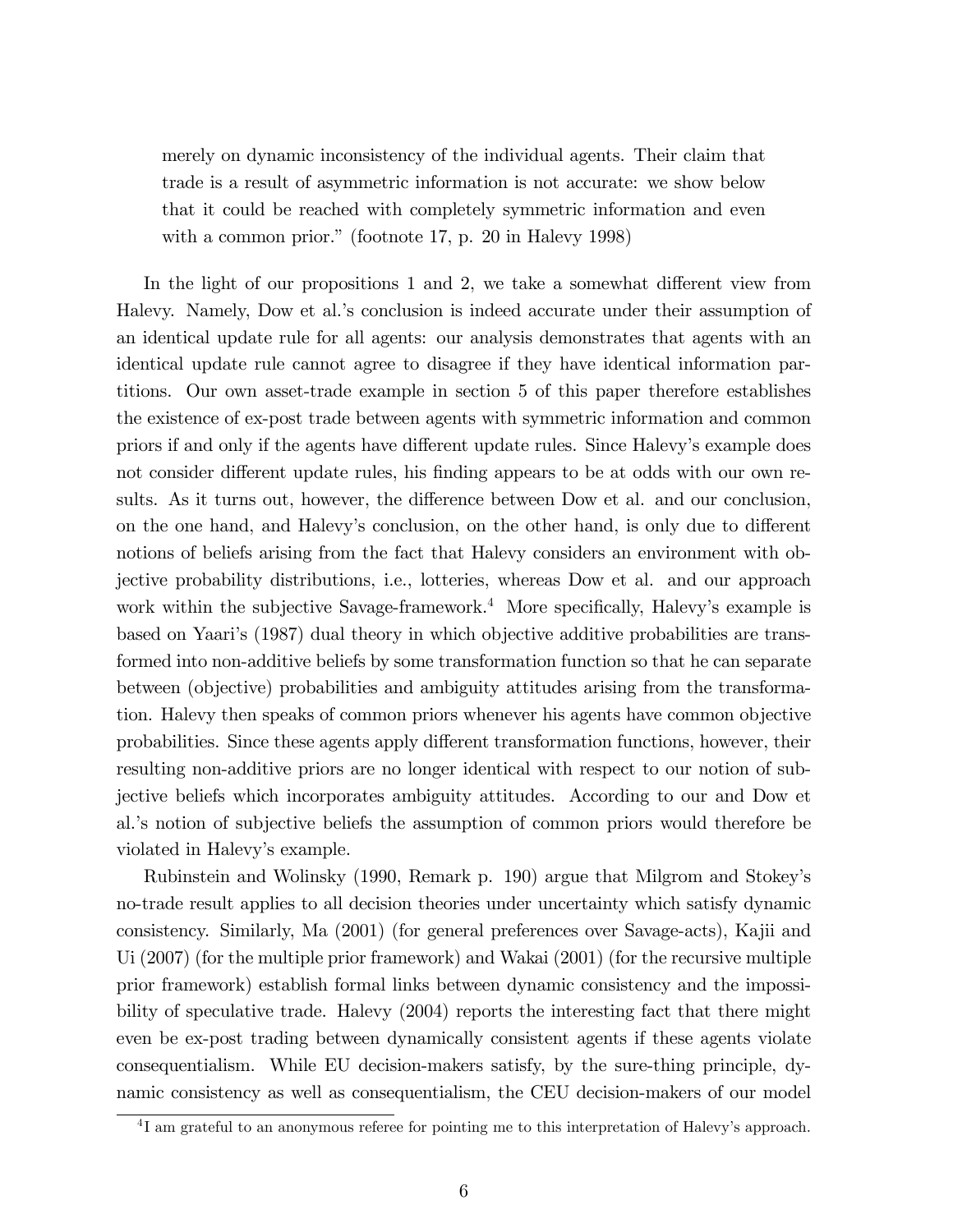merely on dynamic inconsistency of the individual agents. Their claim that trade is a result of asymmetric information is not accurate: we show below that it could be reached with completely symmetric information and even with a common prior." (footnote  $17$ , p.  $20$  in Halevy 1998)

In the light of our propositions 1 and 2, we take a somewhat different view from Halevy. Namely, Dow et al.ís conclusion is indeed accurate under their assumption of an identical update rule for all agents: our analysis demonstrates that agents with an identical update rule cannot agree to disagree if they have identical information partitions. Our own asset-trade example in section 5 of this paper therefore establishes the existence of ex-post trade between agents with symmetric information and common priors if and only if the agents have different update rules. Since Halevy's example does not consider different update rules, his finding appears to be at odds with our own results. As it turns out, however, the difference between Dow et al. and our conclusion, on the one hand, and Halevy's conclusion, on the other hand, is only due to different notions of beliefs arising from the fact that Halevy considers an environment with objective probability distributions, i.e., lotteries, whereas Dow et al. and our approach work within the subjective Savage-framework.<sup>4</sup> More specifically, Halevy's example is based on Yaariís (1987) dual theory in which objective additive probabilities are transformed into non-additive beliefs by some transformation function so that he can separate between (objective) probabilities and ambiguity attitudes arising from the transformation. Halevy then speaks of common priors whenever his agents have common objective probabilities. Since these agents apply different transformation functions, however, their resulting non-additive priors are no longer identical with respect to our notion of subjective beliefs which incorporates ambiguity attitudes. According to our and Dow et al.ís notion of subjective beliefs the assumption of common priors would therefore be violated in Halevy's example.

Rubinstein and Wolinsky (1990, Remark p. 190) argue that Milgrom and Stokeyís no-trade result applies to all decision theories under uncertainty which satisfy dynamic consistency. Similarly, Ma (2001) (for general preferences over Savage-acts), Kajii and Ui (2007) (for the multiple prior framework) and Wakai (2001) (for the recursive multiple prior framework) establish formal links between dynamic consistency and the impossibility of speculative trade. Halevy (2004) reports the interesting fact that there might even be ex-post trading between dynamically consistent agents if these agents violate consequentialism. While EU decision-makers satisfy, by the sure-thing principle, dynamic consistency as well as consequentialism, the CEU decision-makers of our model

<sup>&</sup>lt;sup>4</sup>I am grateful to an anonymous referee for pointing me to this interpretation of Halevy's approach.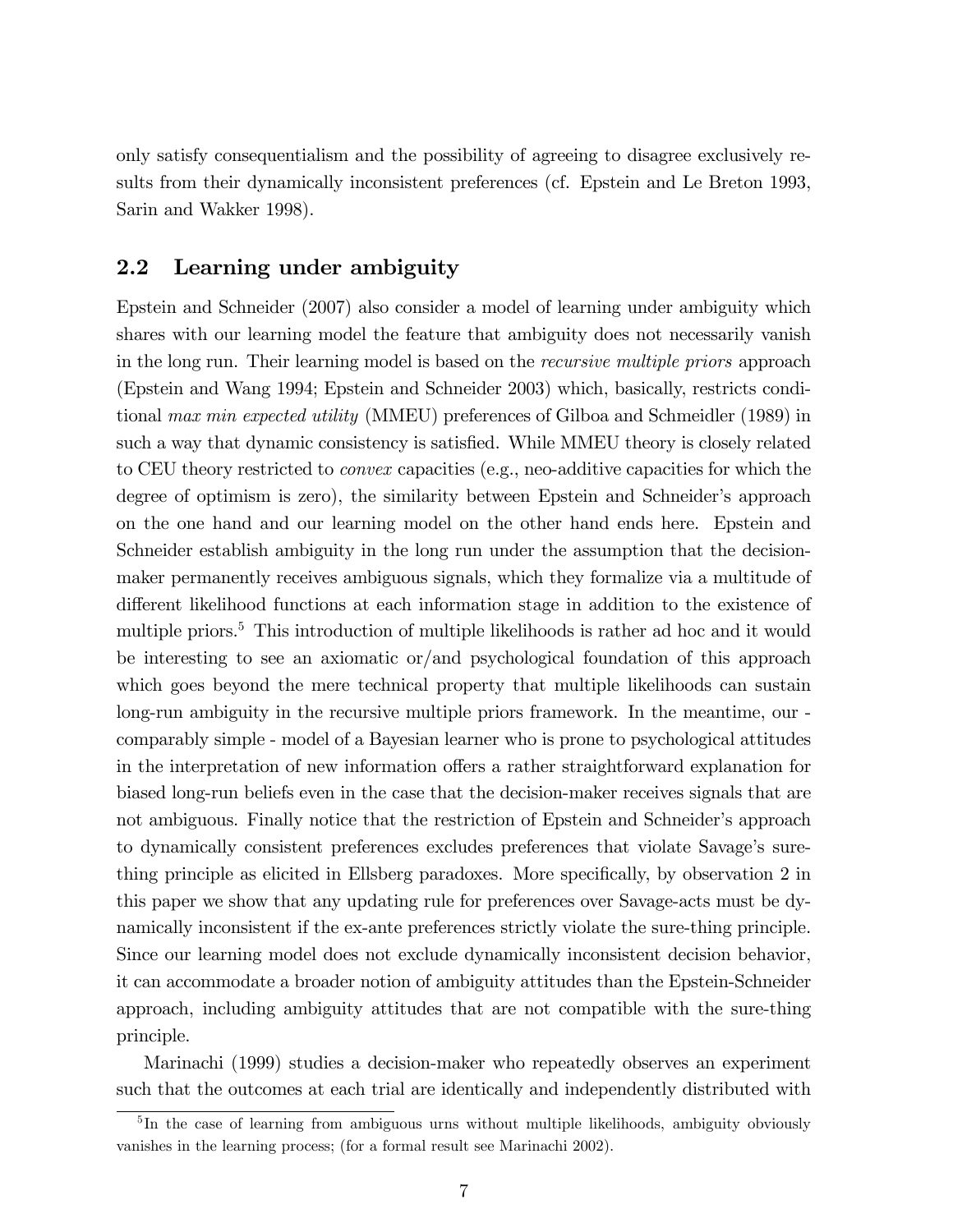only satisfy consequentialism and the possibility of agreeing to disagree exclusively results from their dynamically inconsistent preferences (cf. Epstein and Le Breton 1993, Sarin and Wakker 1998).

#### 2.2 Learning under ambiguity

Epstein and Schneider (2007) also consider a model of learning under ambiguity which shares with our learning model the feature that ambiguity does not necessarily vanish in the long run. Their learning model is based on the recursive multiple priors approach (Epstein and Wang 1994; Epstein and Schneider 2003) which, basically, restricts conditional max min expected utility (MMEU) preferences of Gilboa and Schmeidler (1989) in such a way that dynamic consistency is satisfied. While MMEU theory is closely related to CEU theory restricted to convex capacities (e.g., neo-additive capacities for which the degree of optimism is zero), the similarity between Epstein and Schneider's approach on the one hand and our learning model on the other hand ends here. Epstein and Schneider establish ambiguity in the long run under the assumption that the decisionmaker permanently receives ambiguous signals, which they formalize via a multitude of different likelihood functions at each information stage in addition to the existence of multiple priors.<sup>5</sup> This introduction of multiple likelihoods is rather ad hoc and it would be interesting to see an axiomatic or/and psychological foundation of this approach which goes beyond the mere technical property that multiple likelihoods can sustain long-run ambiguity in the recursive multiple priors framework. In the meantime, our comparably simple - model of a Bayesian learner who is prone to psychological attitudes in the interpretation of new information offers a rather straightforward explanation for biased long-run beliefs even in the case that the decision-maker receives signals that are not ambiguous. Finally notice that the restriction of Epstein and Schneider's approach to dynamically consistent preferences excludes preferences that violate Savage's surething principle as elicited in Ellsberg paradoxes. More specifically, by observation 2 in this paper we show that any updating rule for preferences over Savage-acts must be dynamically inconsistent if the ex-ante preferences strictly violate the sure-thing principle. Since our learning model does not exclude dynamically inconsistent decision behavior, it can accommodate a broader notion of ambiguity attitudes than the Epstein-Schneider approach, including ambiguity attitudes that are not compatible with the sure-thing principle.

Marinachi (1999) studies a decision-maker who repeatedly observes an experiment such that the outcomes at each trial are identically and independently distributed with

<sup>&</sup>lt;sup>5</sup>In the case of learning from ambiguous urns without multiple likelihoods, ambiguity obviously vanishes in the learning process; (for a formal result see Marinachi 2002).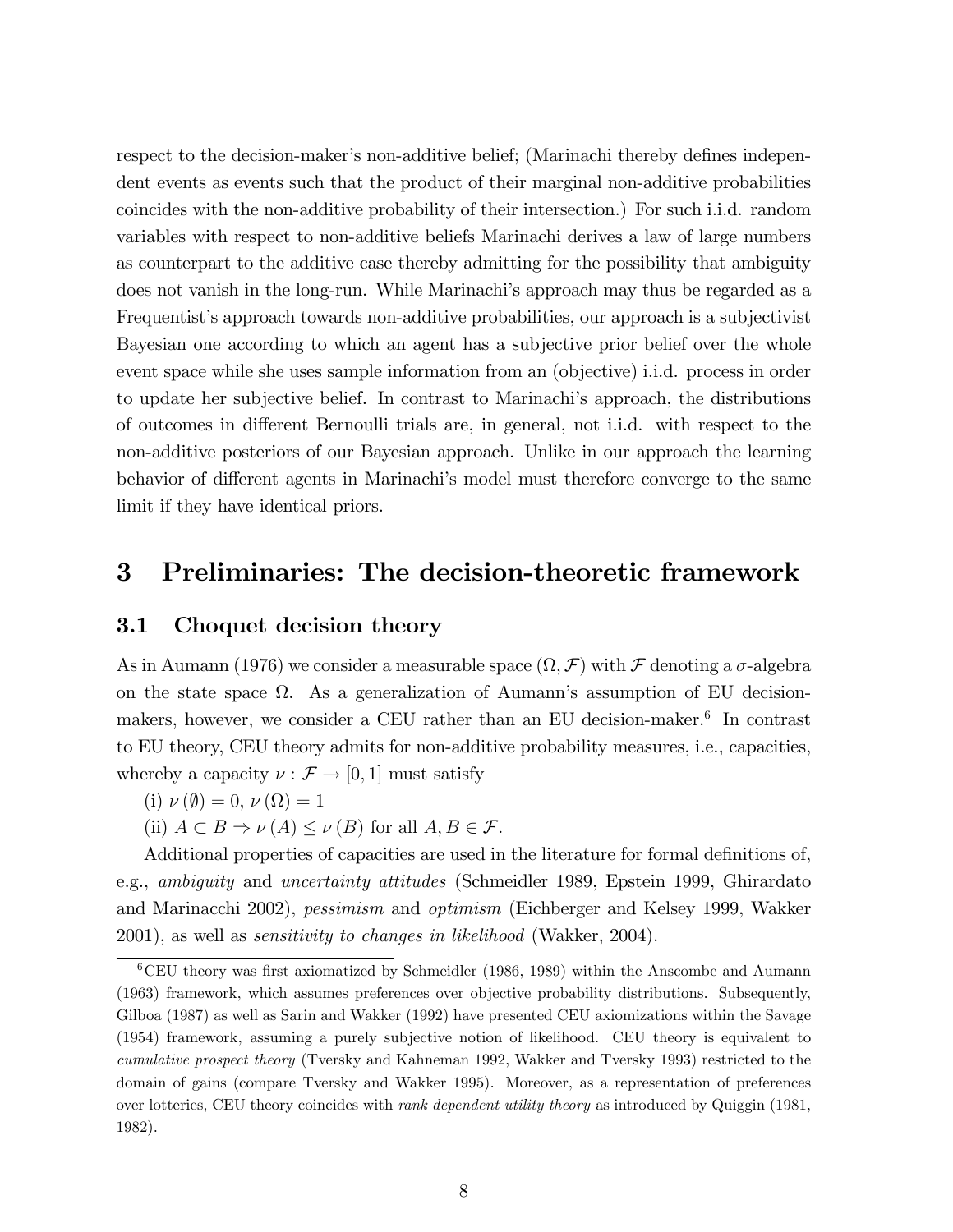respect to the decision-maker's non-additive belief; (Marinachi thereby defines independent events as events such that the product of their marginal non-additive probabilities coincides with the non-additive probability of their intersection.) For such i.i.d. random variables with respect to non-additive beliefs Marinachi derives a law of large numbers as counterpart to the additive case thereby admitting for the possibility that ambiguity does not vanish in the long-run. While Marinachiís approach may thus be regarded as a Frequentist's approach towards non-additive probabilities, our approach is a subjectivist Bayesian one according to which an agent has a subjective prior belief over the whole event space while she uses sample information from an (objective) i.i.d. process in order to update her subjective belief. In contrast to Marinachiís approach, the distributions of outcomes in different Bernoulli trials are, in general, not i.i.d. with respect to the non-additive posteriors of our Bayesian approach. Unlike in our approach the learning behavior of different agents in Marinachi's model must therefore converge to the same limit if they have identical priors.

## 3 Preliminaries: The decision-theoretic framework

#### 3.1 Choquet decision theory

As in Aumann (1976) we consider a measurable space  $(\Omega, \mathcal{F})$  with  $\mathcal F$  denoting a  $\sigma$ -algebra on the state space  $\Omega$ . As a generalization of Aumann's assumption of EU decisionmakers, however, we consider a CEU rather than an EU decision-maker.<sup>6</sup> In contrast to EU theory, CEU theory admits for non-additive probability measures, i.e., capacities, whereby a capacity  $\nu : \mathcal{F} \to [0, 1]$  must satisfy

- (i)  $\nu(\emptyset) = 0, \nu(\Omega) = 1$
- (ii)  $A \subset B \Rightarrow \nu(A) \leq \nu(B)$  for all  $A, B \in \mathcal{F}$ .

Additional properties of capacities are used in the literature for formal definitions of, e.g., ambiguity and uncertainty attitudes (Schmeidler 1989, Epstein 1999, Ghirardato and Marinacchi 2002), pessimism and optimism (Eichberger and Kelsey 1999, Wakker 2001), as well as sensitivity to changes in likelihood (Wakker, 2004).

 ${}^{6}$ CEU theory was first axiomatized by Schmeidler (1986, 1989) within the Anscombe and Aumann (1963) framework, which assumes preferences over objective probability distributions. Subsequently, Gilboa (1987) as well as Sarin and Wakker (1992) have presented CEU axiomizations within the Savage (1954) framework, assuming a purely subjective notion of likelihood. CEU theory is equivalent to cumulative prospect theory (Tversky and Kahneman 1992, Wakker and Tversky 1993) restricted to the domain of gains (compare Tversky and Wakker 1995). Moreover, as a representation of preferences over lotteries, CEU theory coincides with rank dependent utility theory as introduced by Quiggin (1981, 1982).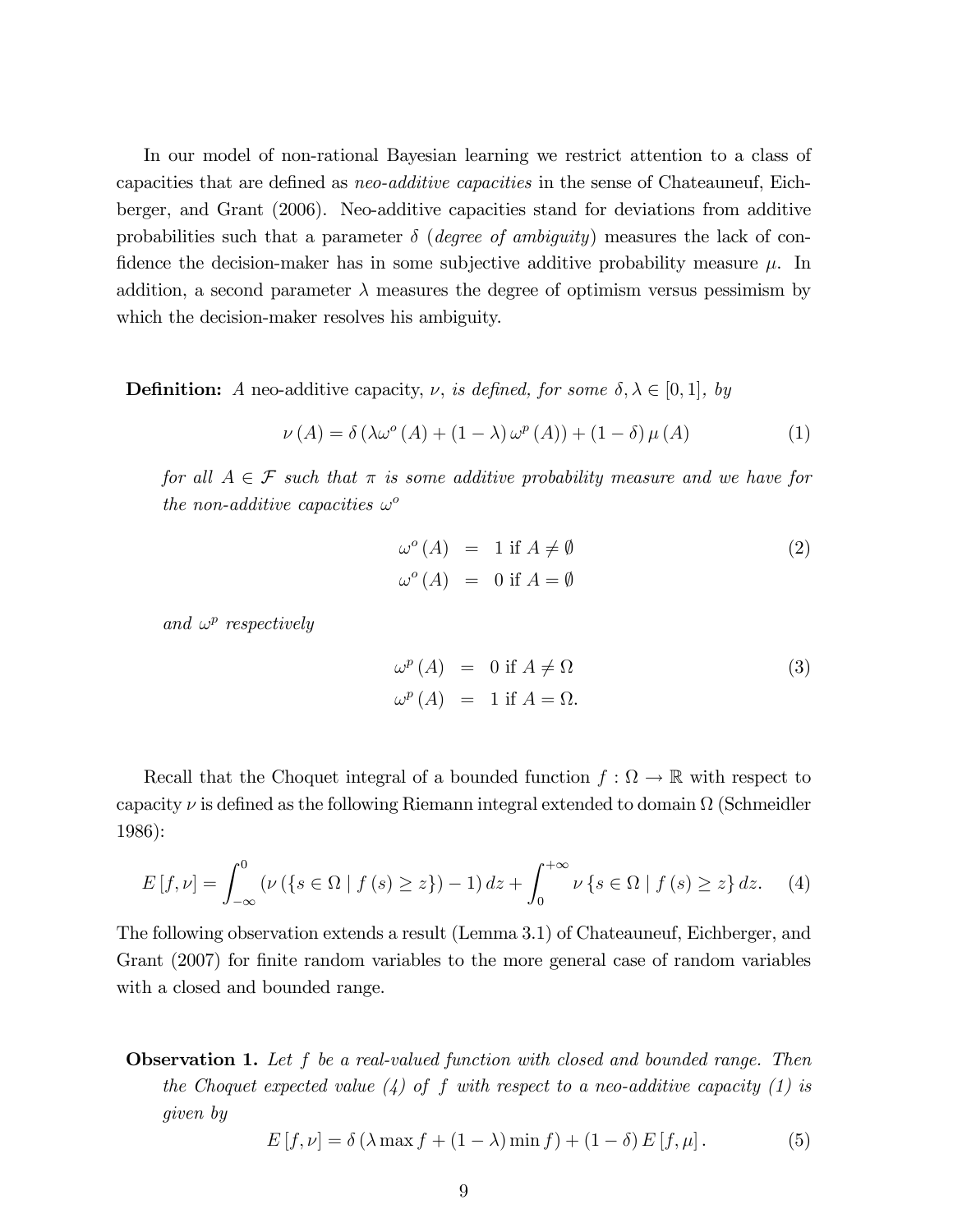In our model of non-rational Bayesian learning we restrict attention to a class of capacities that are defined as *neo-additive capacities* in the sense of Chateauneuf, Eichberger, and Grant (2006). Neo-additive capacities stand for deviations from additive probabilities such that a parameter  $\delta$  (*degree of ambiguity*) measures the lack of confidence the decision-maker has in some subjective additive probability measure  $\mu$ . In addition, a second parameter  $\lambda$  measures the degree of optimism versus pessimism by which the decision-maker resolves his ambiguity.

**Definition:** A neo-additive capacity,  $\nu$ , is defined, for some  $\delta, \lambda \in [0, 1]$ , by

$$
\nu(A) = \delta\left(\lambda\omega^{\circ}\left(A\right) + \left(1-\lambda\right)\omega^{\circ}\left(A\right)\right) + \left(1-\delta\right)\mu\left(A\right) \tag{1}
$$

for all  $A \in \mathcal{F}$  such that  $\pi$  is some additive probability measure and we have for the non-additive capacities  $\omega^{\circ}$ 

$$
\begin{array}{rcl}\n\omega^o(A) & = & 1 \text{ if } A \neq \emptyset \\
\omega^o(A) & = & 0 \text{ if } A = \emptyset\n\end{array} \tag{2}
$$

and  $\omega^p$  respectively

$$
\omega^{p}(A) = 0 \text{ if } A \neq \Omega
$$
  

$$
\omega^{p}(A) = 1 \text{ if } A = \Omega.
$$
 (3)

Recall that the Choquet integral of a bounded function  $f: \Omega \to \mathbb{R}$  with respect to capacity  $\nu$  is defined as the following Riemann integral extended to domain  $\Omega$  (Schmeidler 1986):

$$
E[f,\nu] = \int_{-\infty}^{0} \left( \nu \left( \{ s \in \Omega \mid f(s) \ge z \} \right) - 1 \right) dz + \int_{0}^{+\infty} \nu \{ s \in \Omega \mid f(s) \ge z \} dz. \tag{4}
$$

The following observation extends a result (Lemma 3.1) of Chateauneuf, Eichberger, and Grant (2007) for finite random variables to the more general case of random variables with a closed and bounded range.

**Observation 1.** Let f be a real-valued function with closed and bounded range. Then the Choquet expected value  $\left(4\right)$  of f with respect to a neo-additive capacity  $(1)$  is given by

$$
E[f,\nu] = \delta\left(\lambda \max f + (1-\lambda)\min f\right) + (1-\delta)E[f,\mu].\tag{5}
$$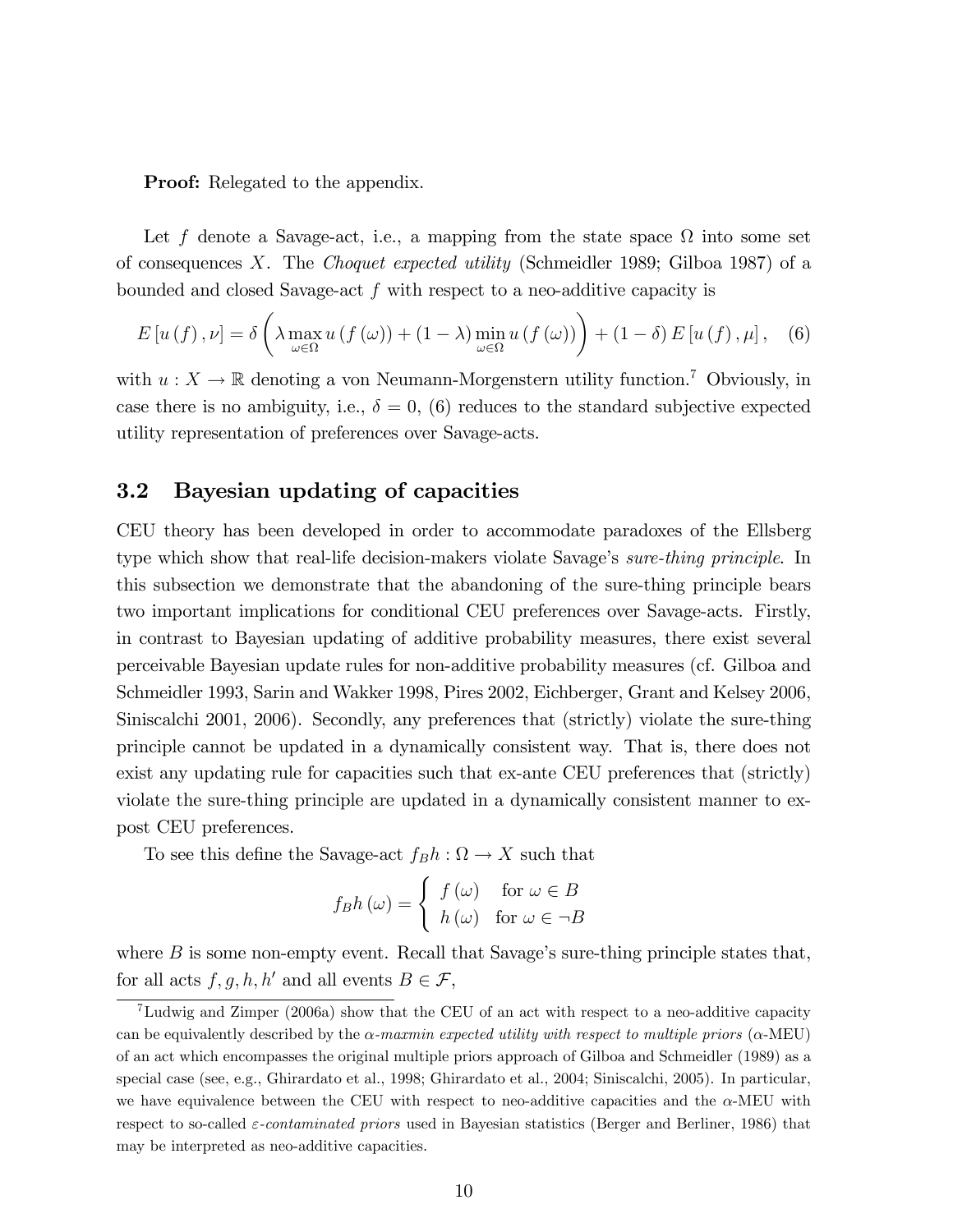**Proof:** Relegated to the appendix.

Let f denote a Savage-act, i.e., a mapping from the state space  $\Omega$  into some set of consequences X. The Choquet expected utility (Schmeidler 1989; Gilboa 1987) of a bounded and closed Savage-act  $f$  with respect to a neo-additive capacity is

$$
E[u(f),\nu] = \delta\left(\lambda \max_{\omega \in \Omega} u(f(\omega)) + (1-\lambda) \min_{\omega \in \Omega} u(f(\omega))\right) + (1-\delta) E[u(f),\mu], \quad (6)
$$

with  $u: X \to \mathbb{R}$  denoting a von Neumann-Morgenstern utility function.<sup>7</sup> Obviously, in case there is no ambiguity, i.e.,  $\delta = 0$ , (6) reduces to the standard subjective expected utility representation of preferences over Savage-acts.

#### 3.2 Bayesian updating of capacities

CEU theory has been developed in order to accommodate paradoxes of the Ellsberg type which show that real-life decision-makers violate Savage's sure-thing principle. In this subsection we demonstrate that the abandoning of the sure-thing principle bears two important implications for conditional CEU preferences over Savage-acts. Firstly, in contrast to Bayesian updating of additive probability measures, there exist several perceivable Bayesian update rules for non-additive probability measures (cf. Gilboa and Schmeidler 1993, Sarin and Wakker 1998, Pires 2002, Eichberger, Grant and Kelsey 2006, Siniscalchi 2001, 2006). Secondly, any preferences that (strictly) violate the sure-thing principle cannot be updated in a dynamically consistent way. That is, there does not exist any updating rule for capacities such that ex-ante CEU preferences that (strictly) violate the sure-thing principle are updated in a dynamically consistent manner to expost CEU preferences.

To see this define the Savage-act  $f_B h : \Omega \to X$  such that

$$
f_B h(\omega) = \begin{cases} f(\omega) & \text{for } \omega \in B \\ h(\omega) & \text{for } \omega \in \neg B \end{cases}
$$

where  $B$  is some non-empty event. Recall that Savage's sure-thing principle states that, for all acts  $f, g, h, h'$  and all events  $B \in \mathcal{F}$ ,

<sup>7</sup>Ludwig and Zimper (2006a) show that the CEU of an act with respect to a neo-additive capacity can be equivalently described by the  $\alpha$ -maxmin expected utility with respect to multiple priors ( $\alpha$ -MEU) of an act which encompasses the original multiple priors approach of Gilboa and Schmeidler (1989) as a special case (see, e.g., Ghirardato et al., 1998; Ghirardato et al., 2004; Siniscalchi, 2005). In particular, we have equivalence between the CEU with respect to neo-additive capacities and the  $\alpha$ -MEU with respect to so-called  $\varepsilon$ -contaminated priors used in Bayesian statistics (Berger and Berliner, 1986) that may be interpreted as neo-additive capacities.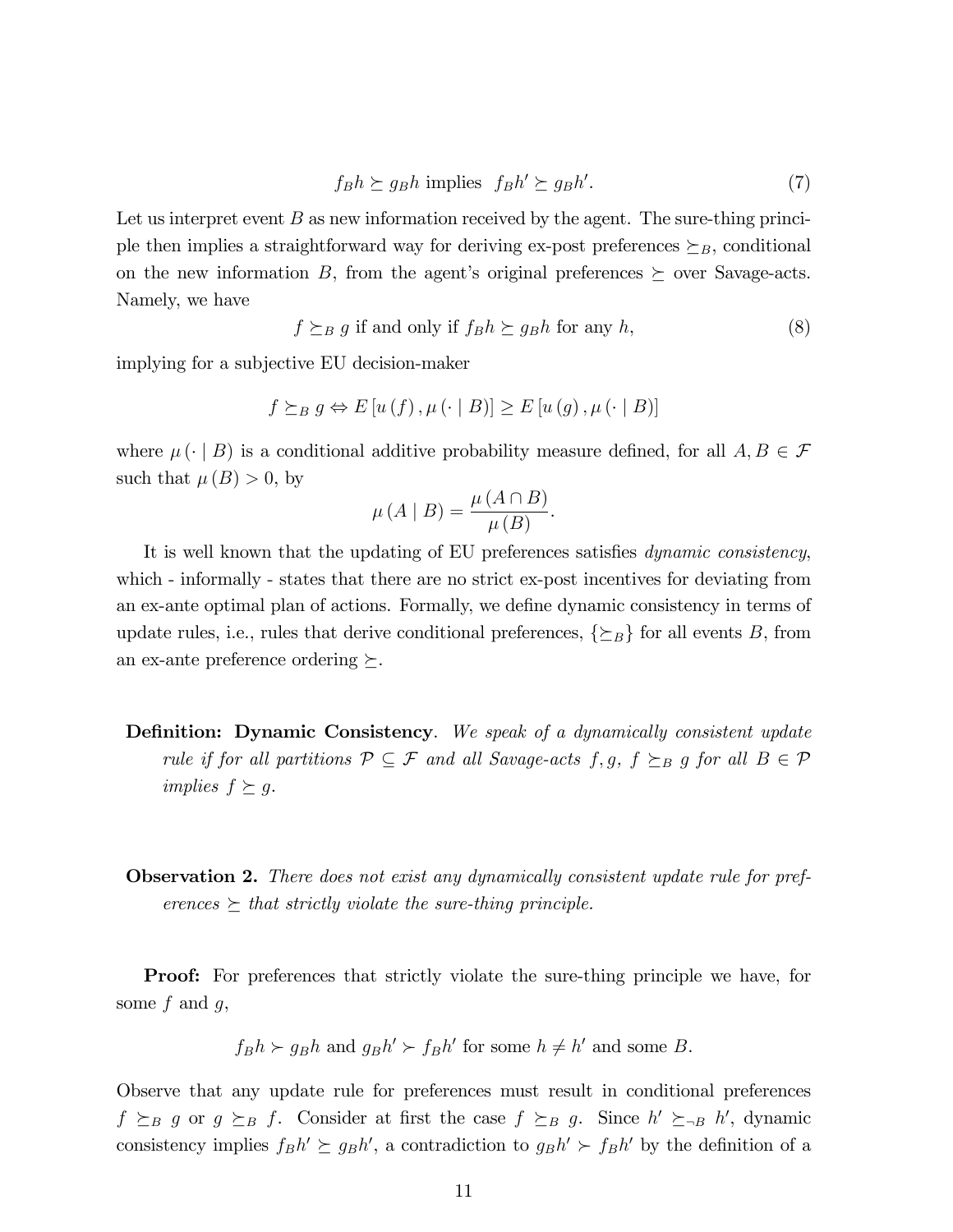$$
f_B h \succeq g_B h \text{ implies } f_B h' \succeq g_B h'. \tag{7}
$$

Let us interpret event  $B$  as new information received by the agent. The sure-thing principle then implies a straightforward way for deriving ex-post preferences  $\succeq_B$ , conditional on the new information B, from the agent's original preferences  $\succeq$  over Savage-acts. Namely, we have

$$
f \succeq_B g \text{ if and only if } f_B h \succeq g_B h \text{ for any } h,
$$
\n(8)

implying for a subjective EU decision-maker

$$
f \succeq_B g \Leftrightarrow E[u(f), \mu(\cdot | B)] \ge E[u(g), \mu(\cdot | B)]
$$

where  $\mu(\cdot | B)$  is a conditional additive probability measure defined, for all  $A, B \in \mathcal{F}$ such that  $\mu(B) > 0$ , by

$$
\mu(A \mid B) = \frac{\mu(A \cap B)}{\mu(B)}.
$$

It is well known that the updating of EU preferences satisfies *dynamic consistency*, which - informally - states that there are no strict ex-post incentives for deviating from an ex-ante optimal plan of actions. Formally, we define dynamic consistency in terms of update rules, i.e., rules that derive conditional preferences,  $\{\succeq_B\}$  for all events B, from an ex-ante preference ordering  $\succeq$ .

**Definition:** Dynamic Consistency. We speak of a dynamically consistent update rule if for all partitions  $P \subseteq \mathcal{F}$  and all Savage-acts  $f, g, f \succeq_B g$  for all  $B \in \mathcal{P}$ implies  $f \succeq g$ .

#### **Observation 2.** There does not exist any dynamically consistent update rule for preferences  $\succeq$  that strictly violate the sure-thing principle.

Proof: For preferences that strictly violate the sure-thing principle we have, for some  $f$  and  $g$ ,

 $f_B h \succ g_B h$  and  $g_B h' \succ f_B h'$  for some  $h \neq h'$  and some B.

Observe that any update rule for preferences must result in conditional preferences  $f \succeq_B g$  or  $g \succeq_B f$ . Consider at first the case  $f \succeq_B g$ . Since  $h' \succeq_{\neg B} h'$ , dynamic consistency implies  $f_B h' \succeq g_B h'$ , a contradiction to  $g_B h' \succ f_B h'$  by the definition of a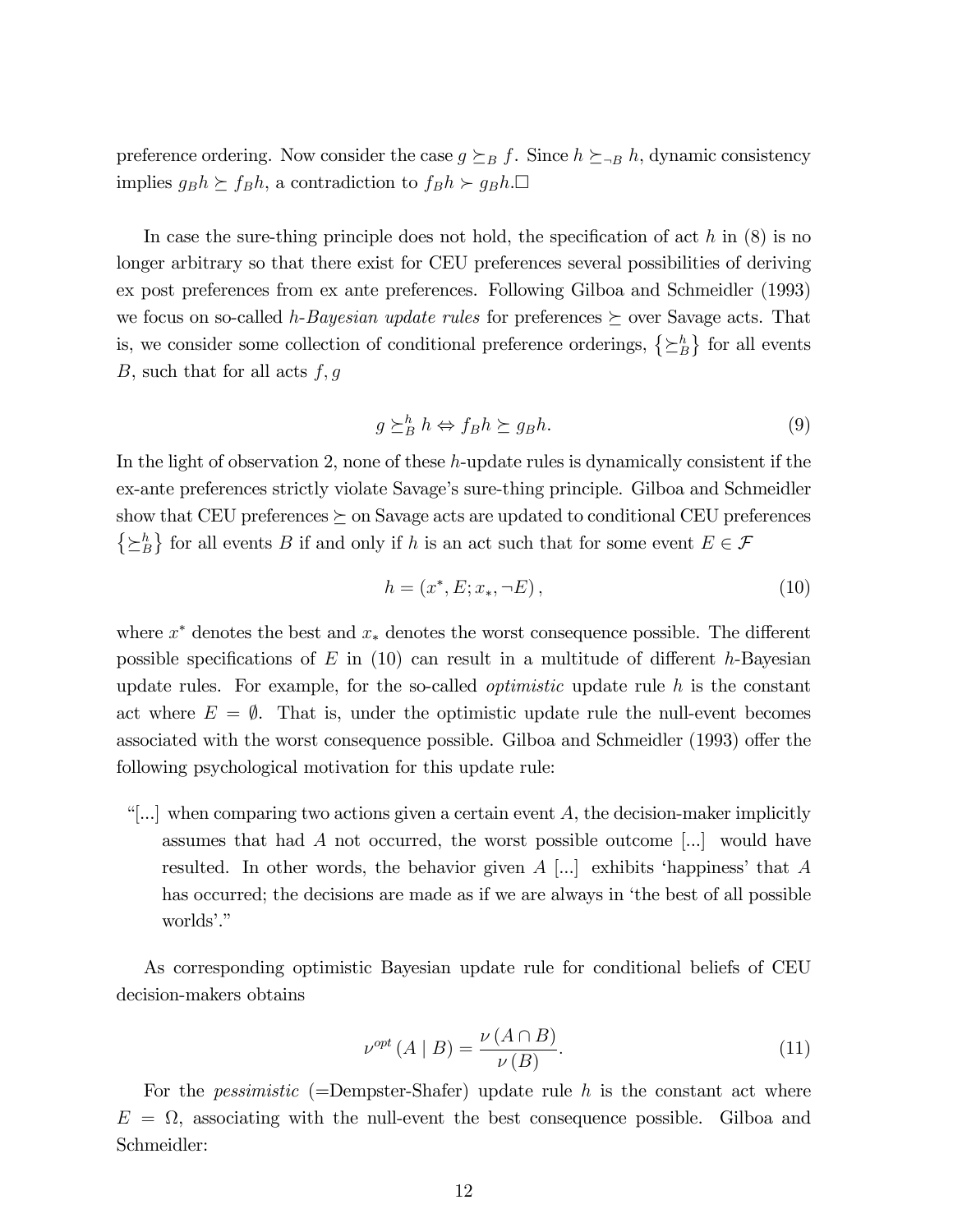preference ordering. Now consider the case  $g \succeq_B f$ . Since  $h \succeq_{\neg B} h$ , dynamic consistency implies  $g_B h \succeq f_B h$ , a contradiction to  $f_B h \succ g_B h$ .

In case the sure-thing principle does not hold, the specification of act h in  $(8)$  is no longer arbitrary so that there exist for CEU preferences several possibilities of deriving ex post preferences from ex ante preferences. Following Gilboa and Schmeidler (1993) we focus on so-called h-Bayesian update rules for preferences  $\succeq$  over Savage acts. That is, we consider some collection of conditional preference orderings,  $\{\succeq^h_B\}$  for all events B, such that for all acts  $f, g$ 

$$
g \succeq_B^h h \Leftrightarrow f_B h \succeq g_B h. \tag{9}
$$

In the light of observation 2, none of these h-update rules is dynamically consistent if the ex-ante preferences strictly violate Savage's sure-thing principle. Gilboa and Schmeidler show that CEU preferences  $\succeq$  on Savage acts are updated to conditional CEU preferences  $\{\succeq^h_B\}$  for all events B if and only if h is an act such that for some event  $E \in \mathcal{F}$ 

$$
h = (x^*, E; x_*, \neg E), \tag{10}
$$

where  $x^*$  denotes the best and  $x_*$  denotes the worst consequence possible. The different possible specifications of E in  $(10)$  can result in a multitude of different h-Bayesian update rules. For example, for the so-called *optimistic* update rule  $h$  is the constant act where  $E = \emptyset$ . That is, under the optimistic update rule the null-event becomes associated with the worst consequence possible. Gilboa and Schmeidler (1993) offer the following psychological motivation for this update rule:

 $\lceil \ldots \rceil$  when comparing two actions given a certain event A, the decision-maker implicitly assumes that had  $\overline{A}$  not occurred, the worst possible outcome [...] would have resulted. In other words, the behavior given  $A$  [...] exhibits 'happiness' that  $A$ has occurred; the decisions are made as if we are always in 'the best of all possible worlds'."

As corresponding optimistic Bayesian update rule for conditional beliefs of CEU decision-makers obtains

$$
\nu^{opt}(A \mid B) = \frac{\nu(A \cap B)}{\nu(B)}.
$$
\n(11)

For the *pessimistic* ( $=$ Dempster-Shafer) update rule h is the constant act where  $E = \Omega$ , associating with the null-event the best consequence possible. Gilboa and Schmeidler: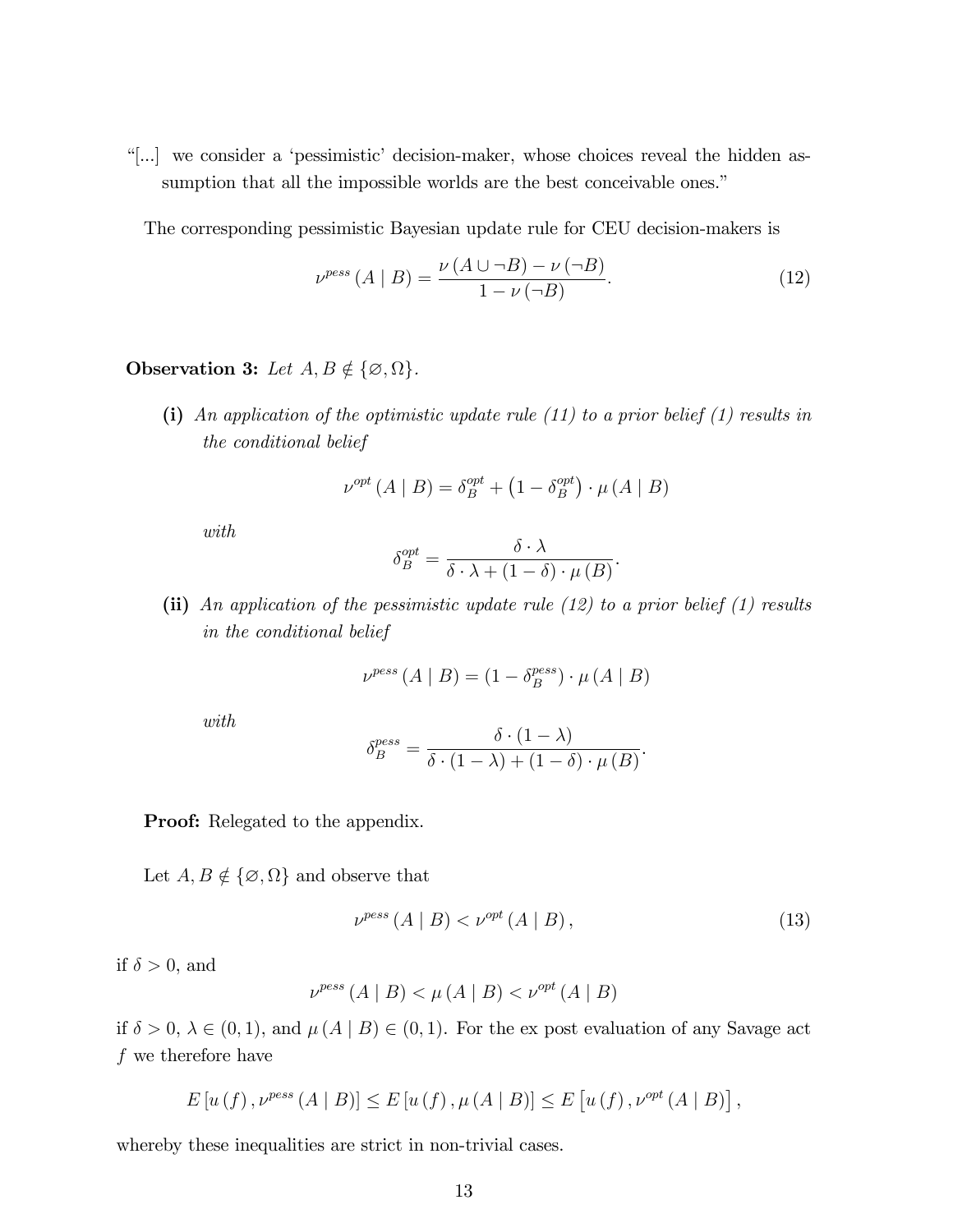"[...] we consider a 'pessimistic' decision-maker, whose choices reveal the hidden assumption that all the impossible worlds are the best conceivable ones."

The corresponding pessimistic Bayesian update rule for CEU decision-makers is

$$
\nu^{pess}(A \mid B) = \frac{\nu(A \cup \neg B) - \nu(\neg B)}{1 - \nu(\neg B)}.
$$
\n(12)

# **Observation 3:** Let  $A, B \notin \{\emptyset, \Omega\}.$

(i) An application of the optimistic update rule  $(11)$  to a prior belief  $(1)$  results in the conditional belief

$$
\nu^{opt}\left(A \mid B\right) = \delta_B^{opt} + \left(1 - \delta_B^{opt}\right) \cdot \mu\left(A \mid B\right)
$$

with

$$
\delta_B^{opt} = \frac{\delta \cdot \lambda}{\delta \cdot \lambda + (1 - \delta) \cdot \mu(B)}
$$

(ii) An application of the pessimistic update rule  $(12)$  to a prior belief  $(1)$  results in the conditional belief

$$
\nu^{pess}\left(A \mid B\right) = \left(1 - \delta_B^{pess}\right) \cdot \mu\left(A \mid B\right)
$$

with

$$
\delta_B^{pess} = \frac{\delta \cdot (1 - \lambda)}{\delta \cdot (1 - \lambda) + (1 - \delta) \cdot \mu(B)}.
$$

Proof: Relegated to the appendix.

Let  $A, B \notin \{\emptyset, \Omega\}$  and observe that

$$
\nu^{pess}\left(A \mid B\right) < \nu^{opt}\left(A \mid B\right),\tag{13}
$$

.

if  $\delta > 0$ , and

$$
\nu^{pess}\left(A \mid B\right) < \mu\left(A \mid B\right) < \nu^{opt}\left(A \mid B\right)
$$

if  $\delta > 0$ ,  $\lambda \in (0, 1)$ , and  $\mu(A | B) \in (0, 1)$ . For the ex post evaluation of any Savage act  $f$  we therefore have

$$
E[u(f), \nu^{pess}(A \mid B)] \le E[u(f), \mu(A \mid B)] \le E[u(f), \nu^{opt}(A \mid B)],
$$

whereby these inequalities are strict in non-trivial cases.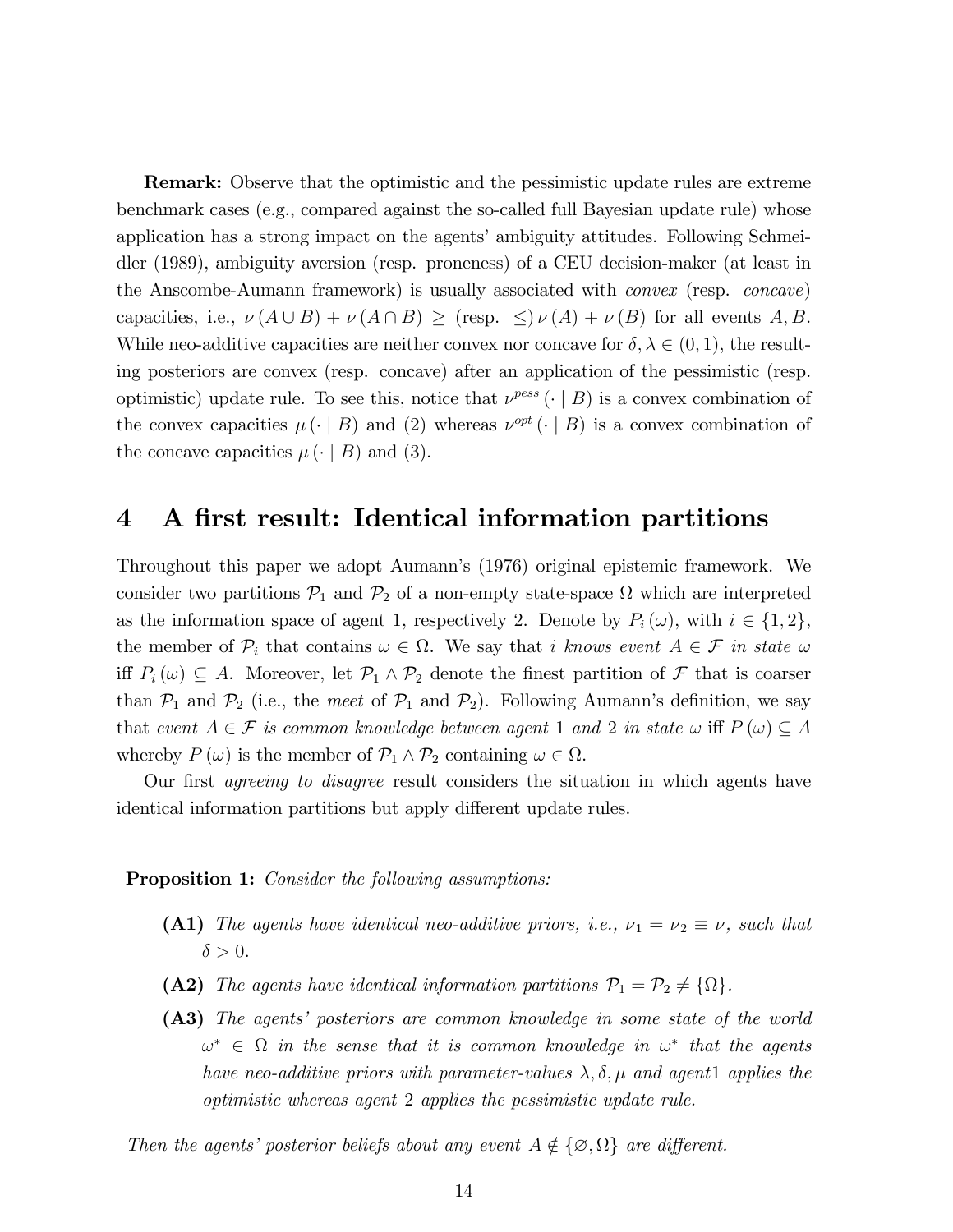Remark: Observe that the optimistic and the pessimistic update rules are extreme benchmark cases (e.g., compared against the so-called full Bayesian update rule) whose application has a strong impact on the agents' ambiguity attitudes. Following Schmeidler (1989), ambiguity aversion (resp. proneness) of a CEU decision-maker (at least in the Anscombe-Aumann framework) is usually associated with convex (resp. concave) capacities, i.e.,  $\nu(A \cup B) + \nu(A \cap B) \geq (resp. \leq) \nu(A) + \nu(B)$  for all events A, B. While neo-additive capacities are neither convex nor concave for  $\delta, \lambda \in (0,1)$ , the resulting posteriors are convex (resp. concave) after an application of the pessimistic (resp. optimistic) update rule. To see this, notice that  $\nu^{pess}$  ( $\cdot |B|$ ) is a convex combination of the convex capacities  $\mu(\cdot | B)$  and (2) whereas  $\nu^{opt}(\cdot | B)$  is a convex combination of the concave capacities  $\mu(\cdot | B)$  and (3).

### 4 A first result: Identical information partitions

Throughout this paper we adopt Aumannís (1976) original epistemic framework. We consider two partitions  $\mathcal{P}_1$  and  $\mathcal{P}_2$  of a non-empty state-space  $\Omega$  which are interpreted as the information space of agent 1, respectively 2. Denote by  $P_i(\omega)$ , with  $i \in \{1,2\}$ , the member of  $\mathcal{P}_i$  that contains  $\omega \in \Omega$ . We say that i knows event  $A \in \mathcal{F}$  in state  $\omega$ iff  $P_i(\omega) \subseteq A$ . Moreover, let  $\mathcal{P}_1 \wedge \mathcal{P}_2$  denote the finest partition of  $\mathcal F$  that is coarser than  $P_1$  and  $P_2$  (i.e., the meet of  $P_1$  and  $P_2$ ). Following Aumann's definition, we say that event  $A \in \mathcal{F}$  is common knowledge between agent 1 and 2 in state  $\omega$  iff  $P(\omega) \subseteq A$ whereby  $P(\omega)$  is the member of  $\mathcal{P}_1 \wedge \mathcal{P}_2$  containing  $\omega \in \Omega$ .

Our first *agreeing to disagree* result considers the situation in which agents have identical information partitions but apply different update rules.

**Proposition 1:** Consider the following assumptions:

- (A1) The agents have identical neo-additive priors, i.e.,  $\nu_1 = \nu_2 \equiv \nu$ , such that  $\delta > 0$ .
- (A2) The agents have identical information partitions  $\mathcal{P}_1 = \mathcal{P}_2 \neq \{ \Omega \}.$
- (A3) The agents' posteriors are common knowledge in some state of the world  $\omega^* \in \Omega$  in the sense that it is common knowledge in  $\omega^*$  that the agents have neo-additive priors with parameter-values  $\lambda$ ,  $\delta$ ,  $\mu$  and agent1 applies the optimistic whereas agent 2 applies the pessimistic update rule.

Then the agents' posterior beliefs about any event  $A \notin \{ \emptyset, \Omega \}$  are different.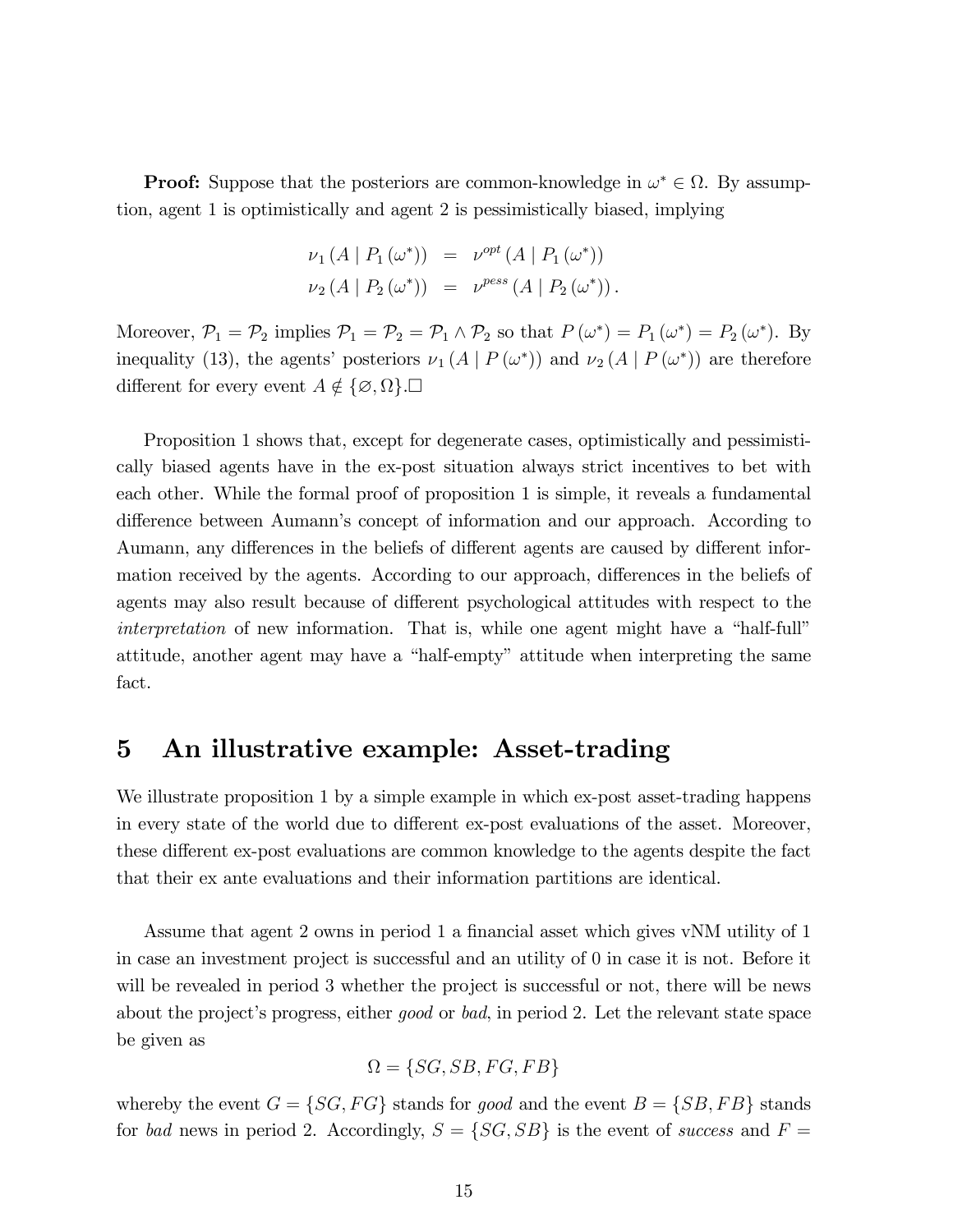**Proof:** Suppose that the posteriors are common-knowledge in  $\omega^* \in \Omega$ . By assumption, agent 1 is optimistically and agent 2 is pessimistically biased, implying

$$
\nu_1(A | P_1(\omega^*)) = \nu^{opt}(A | P_1(\omega^*))
$$
  

$$
\nu_2(A | P_2(\omega^*)) = \nu^{pess}(A | P_2(\omega^*))
$$
.

Moreover,  $\mathcal{P}_1 = \mathcal{P}_2$  implies  $\mathcal{P}_1 = \mathcal{P}_2 = \mathcal{P}_1 \wedge \mathcal{P}_2$  so that  $P(\omega^*) = P_1(\omega^*) = P_2(\omega^*)$ . By inequality (13), the agents' posteriors  $\nu_1(A \mid P(\omega^*))$  and  $\nu_2(A \mid P(\omega^*))$  are therefore different for every event  $A \notin \{\emptyset, \Omega\}$ .

Proposition 1 shows that, except for degenerate cases, optimistically and pessimistically biased agents have in the ex-post situation always strict incentives to bet with each other. While the formal proof of proposition 1 is simple, it reveals a fundamental difference between Aumann's concept of information and our approach. According to Aumann, any differences in the beliefs of different agents are caused by different information received by the agents. According to our approach, differences in the beliefs of agents may also result because of different psychological attitudes with respect to the  $interpretation$  of new information. That is, while one agent might have a "half-full" attitude, another agent may have a "half-empty" attitude when interpreting the same fact.

### 5 An illustrative example: Asset-trading

We illustrate proposition 1 by a simple example in which ex-post asset-trading happens in every state of the world due to different ex-post evaluations of the asset. Moreover, these different ex-post evaluations are common knowledge to the agents despite the fact that their ex ante evaluations and their information partitions are identical.

Assume that agent 2 owns in period 1 a financial asset which gives vNM utility of 1 in case an investment project is successful and an utility of 0 in case it is not. Before it will be revealed in period 3 whether the project is successful or not, there will be news about the project's progress, either good or bad, in period 2. Let the relevant state space be given as

$$
\Omega = \{SG, SB, FG, FB\}
$$

whereby the event  $G = \{SG, FG\}$  stands for good and the event  $B = \{SB, FB\}$  stands for bad news in period 2. Accordingly,  $S = \{SG, SB\}$  is the event of success and  $F =$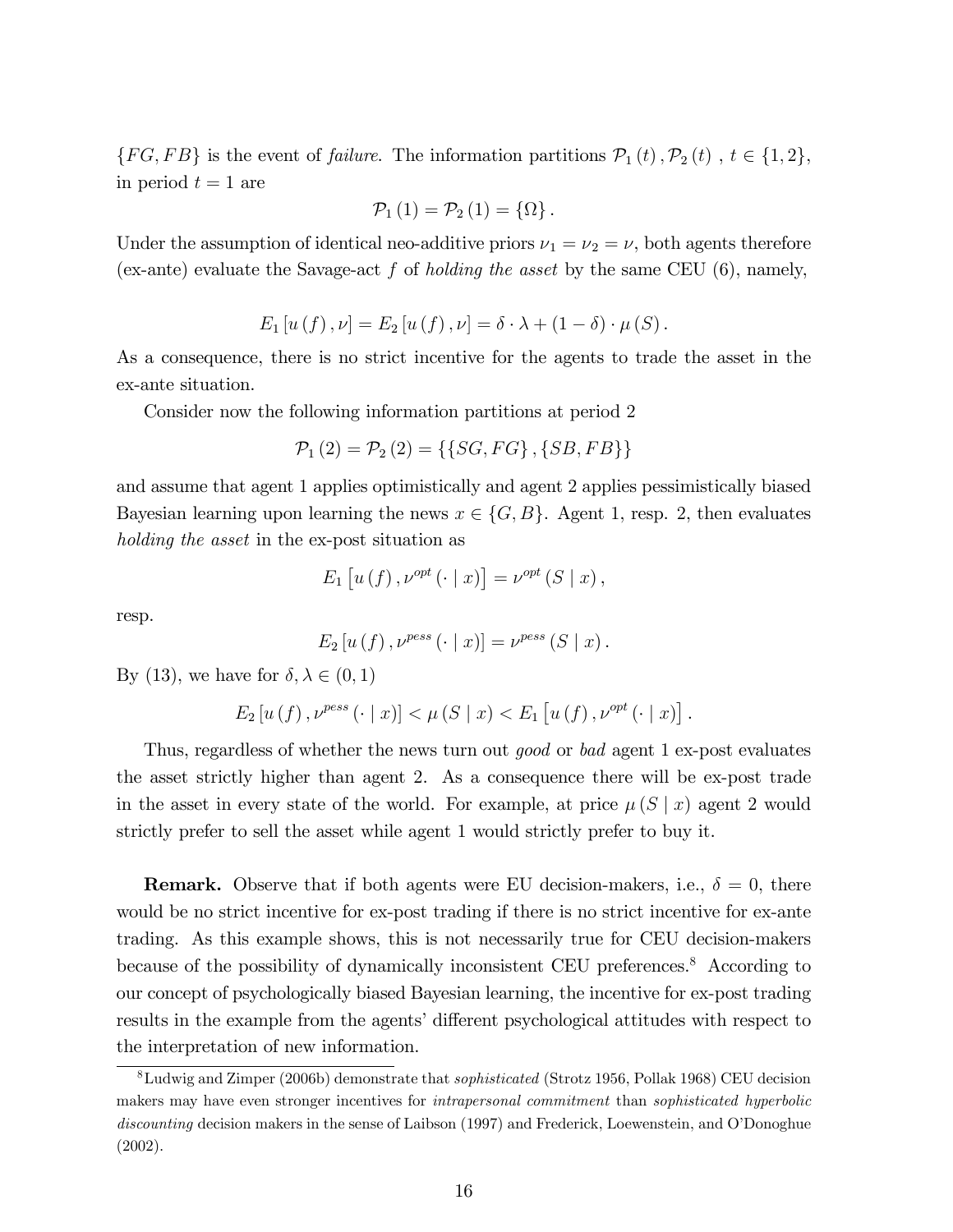$\{FG, FB\}$  is the event of *failure*. The information partitions  $\mathcal{P}_1(t), \mathcal{P}_2(t), t \in \{1, 2\},\$ in period  $t = 1$  are

$$
\mathcal{P}_1(1)=\mathcal{P}_2(1)=\{\Omega\}.
$$

Under the assumption of identical neo-additive priors  $\nu_1 = \nu_2 = \nu$ , both agents therefore (ex-ante) evaluate the Savage-act f of *holding the asset* by the same CEU  $(6)$ , namely,

$$
E_1[u(f), \nu] = E_2[u(f), \nu] = \delta \cdot \lambda + (1 - \delta) \cdot \mu(S).
$$

As a consequence, there is no strict incentive for the agents to trade the asset in the ex-ante situation.

Consider now the following information partitions at period 2

$$
\mathcal{P}_1(2) = \mathcal{P}_2(2) = \{ \{SG, FG\}, \{SB, FB\} \}
$$

and assume that agent 1 applies optimistically and agent 2 applies pessimistically biased Bayesian learning upon learning the news  $x \in \{G, B\}$ . Agent 1, resp. 2, then evaluates holding the asset in the ex-post situation as

$$
E_1[u(f),\nu^{opt}(\cdot | x)] = \nu^{opt}(S | x),
$$

resp.

$$
E_2[u(f), \nu^{pess}(\cdot | x)] = \nu^{pess}(S | x).
$$

By (13), we have for  $\delta, \lambda \in (0, 1)$ 

$$
E_2[u(f), \nu^{pess}(\cdot \mid x)] < \mu(S \mid x) < E_1[u(f), \nu^{opt}(\cdot \mid x)].
$$

Thus, regardless of whether the news turn out good or bad agent 1 ex-post evaluates the asset strictly higher than agent 2. As a consequence there will be ex-post trade in the asset in every state of the world. For example, at price  $\mu(S \mid x)$  agent 2 would strictly prefer to sell the asset while agent 1 would strictly prefer to buy it.

**Remark.** Observe that if both agents were EU decision-makers, i.e.,  $\delta = 0$ , there would be no strict incentive for ex-post trading if there is no strict incentive for ex-ante trading. As this example shows, this is not necessarily true for CEU decision-makers because of the possibility of dynamically inconsistent CEU preferences.<sup>8</sup> According to our concept of psychologically biased Bayesian learning, the incentive for ex-post trading results in the example from the agents' different psychological attitudes with respect to the interpretation of new information.

<sup>8</sup>Ludwig and Zimper (2006b) demonstrate that sophisticated (Strotz 1956, Pollak 1968) CEU decision makers may have even stronger incentives for intrapersonal commitment than sophisticated hyperbolic discounting decision makers in the sense of Laibson (1997) and Frederick, Loewenstein, and O'Donoghue (2002).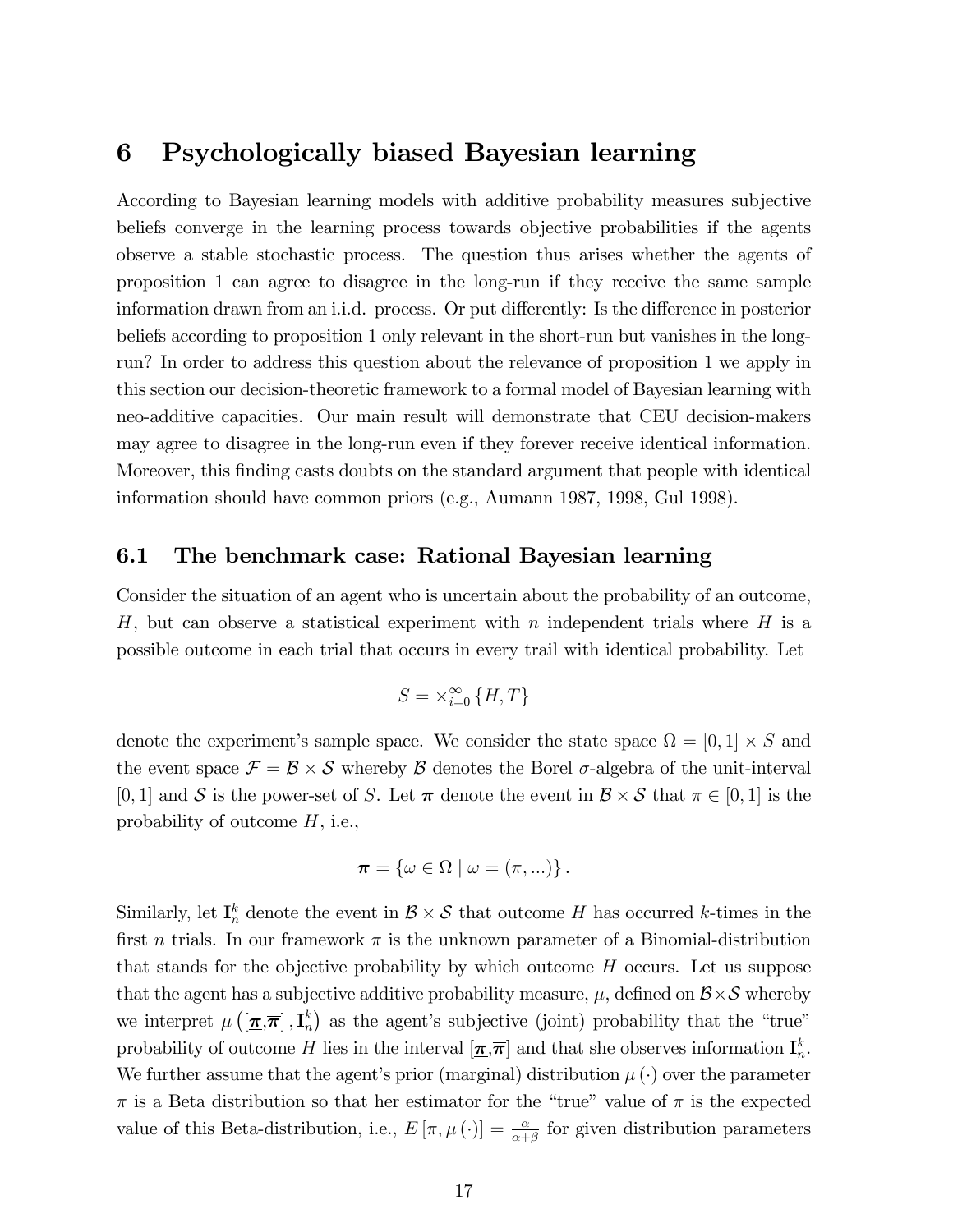# 6 Psychologically biased Bayesian learning

According to Bayesian learning models with additive probability measures subjective beliefs converge in the learning process towards objective probabilities if the agents observe a stable stochastic process. The question thus arises whether the agents of proposition 1 can agree to disagree in the long-run if they receive the same sample information drawn from an i.i.d. process. Or put differently: Is the difference in posterior beliefs according to proposition 1 only relevant in the short-run but vanishes in the longrun? In order to address this question about the relevance of proposition 1 we apply in this section our decision-theoretic framework to a formal model of Bayesian learning with neo-additive capacities. Our main result will demonstrate that CEU decision-makers may agree to disagree in the long-run even if they forever receive identical information. Moreover, this finding casts doubts on the standard argument that people with identical information should have common priors (e.g., Aumann 1987, 1998, Gul 1998).

#### 6.1 The benchmark case: Rational Bayesian learning

Consider the situation of an agent who is uncertain about the probability of an outcome,  $H$ , but can observe a statistical experiment with n independent trials where  $H$  is a possible outcome in each trial that occurs in every trail with identical probability. Let

$$
S = \times_{i=0}^{\infty} \{H, T\}
$$

denote the experiment's sample space. We consider the state space  $\Omega = [0, 1] \times S$  and the event space  $\mathcal{F} = \mathcal{B} \times \mathcal{S}$  whereby  $\mathcal{B}$  denotes the Borel  $\sigma$ -algebra of the unit-interval [0, 1] and S is the power-set of S. Let  $\pi$  denote the event in  $\mathcal{B} \times \mathcal{S}$  that  $\pi \in [0, 1]$  is the probability of outcome  $H$ , i.e.,

$$
\boldsymbol{\pi} = \{\omega \in \Omega \mid \omega = (\pi, \ldots)\}.
$$

Similarly, let  $I_n^k$  denote the event in  $\mathcal{B} \times \mathcal{S}$  that outcome H has occurred k-times in the first *n* trials. In our framework  $\pi$  is the unknown parameter of a Binomial-distribution that stands for the objective probability by which outcome  $H$  occurs. Let us suppose that the agent has a subjective additive probability measure,  $\mu$ , defined on  $\mathcal{B} \times \mathcal{S}$  whereby we interpret  $\mu\left(\left[\frac{\pi}{m},\overline{\pi}\right],\mathbf{I}_{n}^{k}\right)$  $\binom{k}{n}$  as the agent's subjective (joint) probability that the "true" probability of outcome H lies in the interval  $[\underline{\pi}, \overline{\pi}]$  and that she observes information  $I_n^k$ . We further assume that the agent's prior (marginal) distribution  $\mu(\cdot)$  over the parameter  $\pi$  is a Beta distribution so that her estimator for the "true" value of  $\pi$  is the expected value of this Beta-distribution, i.e.,  $E[\pi, \mu(\cdot)] = \frac{\alpha}{\alpha + \beta}$  for given distribution parameters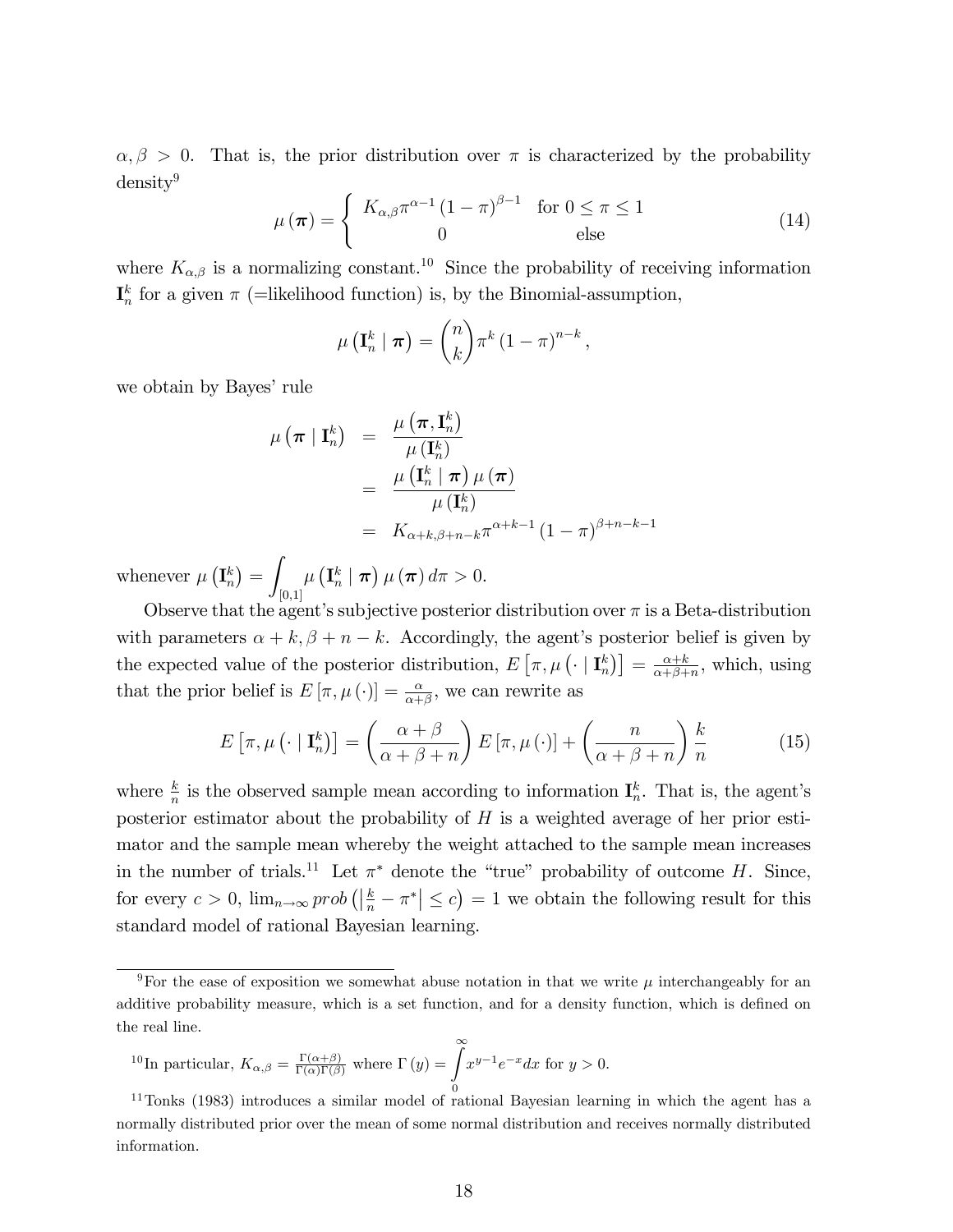$\alpha, \beta > 0$ . That is, the prior distribution over  $\pi$  is characterized by the probability  $density<sup>9</sup>$ 

$$
\mu(\boldsymbol{\pi}) = \begin{cases} K_{\alpha,\beta} \pi^{\alpha-1} (1-\pi)^{\beta-1} & \text{for } 0 \le \pi \le 1 \\ 0 & \text{else} \end{cases}
$$
(14)

where  $K_{\alpha,\beta}$  is a normalizing constant.<sup>10</sup> Since the probability of receiving information  $\mathbf{I}_n^k$  for a given  $\pi$  (=likelihood function) is, by the Binomial-assumption,

$$
\mu\left(\mathbf{I}_{n}^{k} \mid \boldsymbol{\pi}\right) = \binom{n}{k} \pi^{k} \left(1 - \pi\right)^{n-k},
$$

we obtain by Bayes' rule

$$
\mu(\boldsymbol{\pi} | \mathbf{I}_n^k) = \frac{\mu(\boldsymbol{\pi}, \mathbf{I}_n^k)}{\mu(\mathbf{I}_n^k)}
$$
  
= 
$$
\frac{\mu(\mathbf{I}_n^k | \boldsymbol{\pi}) \mu(\boldsymbol{\pi})}{\mu(\mathbf{I}_n^k)}
$$
  
= 
$$
K_{\alpha+k, \beta+n-k} \pi^{\alpha+k-1} (1-\pi)^{\beta+n-k-1}
$$

whenever  $\mu\left(\mathbf{I}_n^k\right)$  = Z  $[0,1]$  $\mu\left(\mathbf{I}_n^k\mid \boldsymbol{\pi}\right)\mu\left(\boldsymbol{\pi}\right)d\pi>0.$ 

Observe that the agent's subjective posterior distribution over  $\pi$  is a Beta-distribution with parameters  $\alpha + k, \beta + n - k$ . Accordingly, the agent's posterior belief is given by the expected value of the posterior distribution,  $E\left[\pi, \mu\left(\cdot \mid \mathbf{I}_n^k\right)\right] = \frac{\alpha + k}{\alpha + \beta + \beta}$  $\frac{\alpha+k}{\alpha+\beta+n}$ , which, using that the prior belief is  $E[\pi, \mu(\cdot)] = \frac{\alpha}{\alpha + \beta}$ , we can rewrite as

$$
E\left[\pi,\mu\left(\cdot\mid\mathbf{I}_{n}^{k}\right)\right]=\left(\frac{\alpha+\beta}{\alpha+\beta+n}\right)E\left[\pi,\mu\left(\cdot\right)\right]+\left(\frac{n}{\alpha+\beta+n}\right)\frac{k}{n}\tag{15}
$$

where  $\frac{k}{n}$  is the observed sample mean according to information  $\mathbf{I}_n^k$ . That is, the agent's posterior estimator about the probability of H is a weighted average of her prior estimator and the sample mean whereby the weight attached to the sample mean increases in the number of trials.<sup>11</sup> Let  $\pi^*$  denote the "true" probability of outcome H. Since, for every  $c > 0$ ,  $\lim_{n \to \infty} prob(|\frac{k}{n} - \pi^*| \leq c) = 1$  we obtain the following result for this standard model of rational Bayesian learning.

$$
{}^{10}\text{In particular, } K_{\alpha,\beta} = \frac{\Gamma(\alpha+\beta)}{\Gamma(\alpha)\Gamma(\beta)} \text{ where } \Gamma(y) = \int_{0}^{\infty} x^{y-1} e^{-x} dx \text{ for } y > 0.
$$

<sup>&</sup>lt;sup>9</sup>For the ease of exposition we somewhat abuse notation in that we write  $\mu$  interchangeably for an additive probability measure, which is a set function, and for a density function, which is defined on the real line.

<sup>0</sup> <sup>11</sup>Tonks (1983) introduces a similar model of rational Bayesian learning in which the agent has a normally distributed prior over the mean of some normal distribution and receives normally distributed information.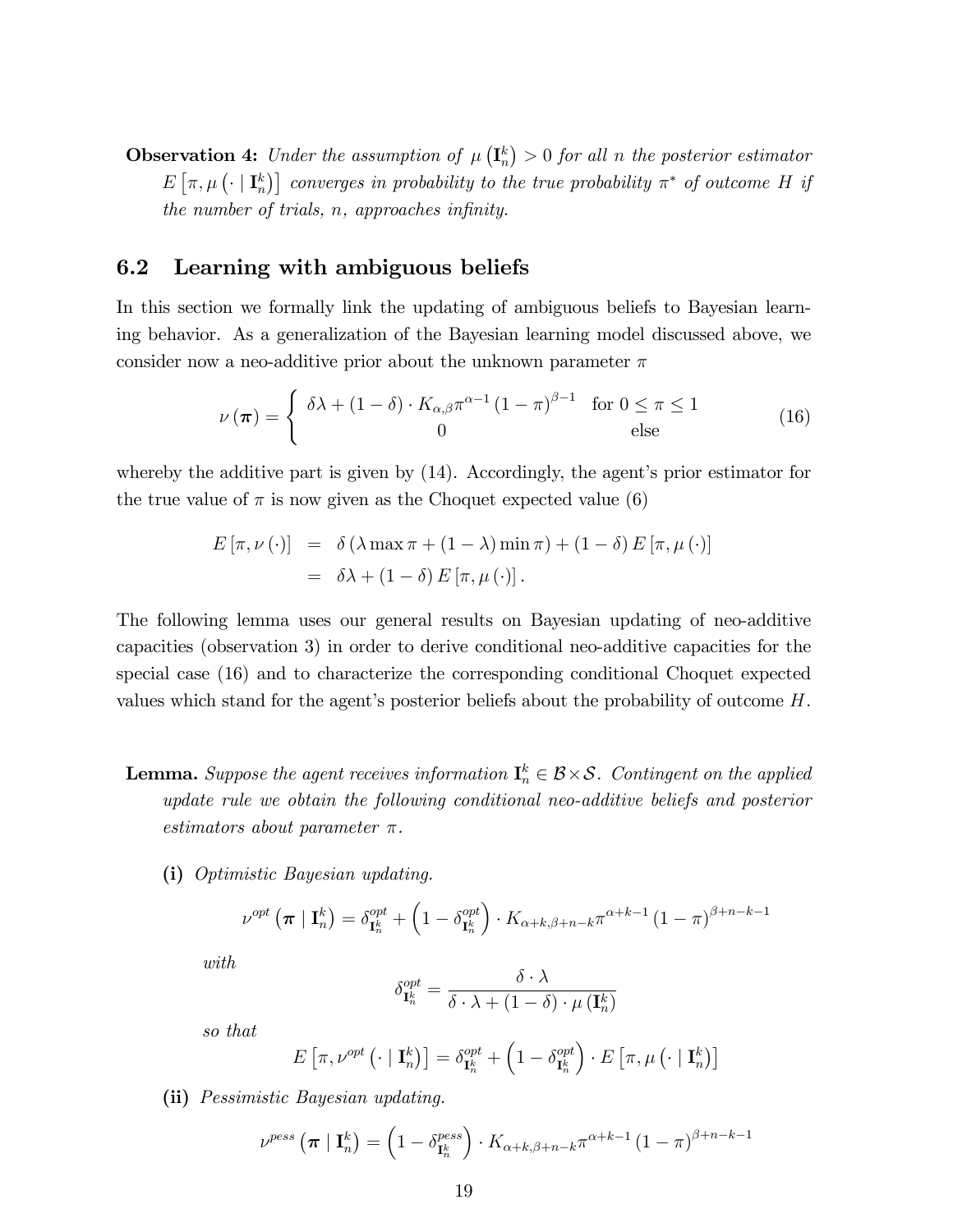**Observation 4:** Under the assumption of  $\mu(\mathbf{I}_n^k) > 0$  for all n the posterior estimator  $E\left[\pi,\mu\left(\cdot \mid \mathbf{I}_{n}^{k}\right)\right]$  converges in probability to the true probability  $\pi^{*}$  of outcome H if  $the number of trials, n, approaches infinity.$ 

#### 6.2 Learning with ambiguous beliefs

In this section we formally link the updating of ambiguous beliefs to Bayesian learning behavior. As a generalization of the Bayesian learning model discussed above, we consider now a neo-additive prior about the unknown parameter  $\pi$ 

$$
\nu(\boldsymbol{\pi}) = \begin{cases} \delta\lambda + (1-\delta) \cdot K_{\alpha,\beta} \pi^{\alpha-1} (1-\pi)^{\beta-1} & \text{for } 0 \le \pi \le 1 \\ 0 & \text{else} \end{cases}
$$
(16)

whereby the additive part is given by  $(14)$ . Accordingly, the agent's prior estimator for the true value of  $\pi$  is now given as the Choquet expected value (6)

$$
E[\pi, \nu(\cdot)] = \delta(\lambda \max \pi + (1 - \lambda) \min \pi) + (1 - \delta) E[\pi, \mu(\cdot)]
$$
  
=  $\delta \lambda + (1 - \delta) E[\pi, \mu(\cdot)].$ 

The following lemma uses our general results on Bayesian updating of neo-additive capacities (observation 3) in order to derive conditional neo-additive capacities for the special case (16) and to characterize the corresponding conditional Choquet expected values which stand for the agent's posterior beliefs about the probability of outcome  $H$ .

- **Lemma.** Suppose the agent receives information  $\mathbf{I}_n^k \in \mathcal{B} \times \mathcal{S}$ . Contingent on the applied update rule we obtain the following conditional neo-additive beliefs and posterior estimators about parameter  $\pi$ .
	- (i) Optimistic Bayesian updating.

$$
\nu^{opt} \left( \boldsymbol{\pi} \mid \mathbf{I}_n^k \right) = \delta_{\mathbf{I}_n^k}^{opt} + \left( 1 - \delta_{\mathbf{I}_n^k}^{opt} \right) \cdot K_{\alpha+k,\beta+n-k} \pi^{\alpha+k-1} \left( 1 - \pi \right)^{\beta+n-k-1}
$$

with

$$
\delta_{\mathbf{I}_{n}^{k}}^{opt} = \frac{\delta \cdot \lambda}{\delta \cdot \lambda + (1 - \delta) \cdot \mu(\mathbf{I}_{n}^{k})}
$$

so that

$$
E\left[\pi,\nu^{opt}\left(\cdot\mid\mathbf{I}_n^k\right)\right]=\delta_{\mathbf{I}_n^k}^{opt}+\left(1-\delta_{\mathbf{I}_n^k}^{opt}\right)\cdot E\left[\pi,\mu\left(\cdot\mid\mathbf{I}_n^k\right)\right]
$$

(ii) Pessimistic Bayesian updating.

$$
\nu^{pess} \left( \boldsymbol{\pi} \mid \mathbf{I}_n^k \right) = \left( 1 - \delta_{\mathbf{I}_n^k}^{pess} \right) \cdot K_{\alpha+k,\beta+n-k} \pi^{\alpha+k-1} \left( 1 - \pi \right)^{\beta+n-k-1}
$$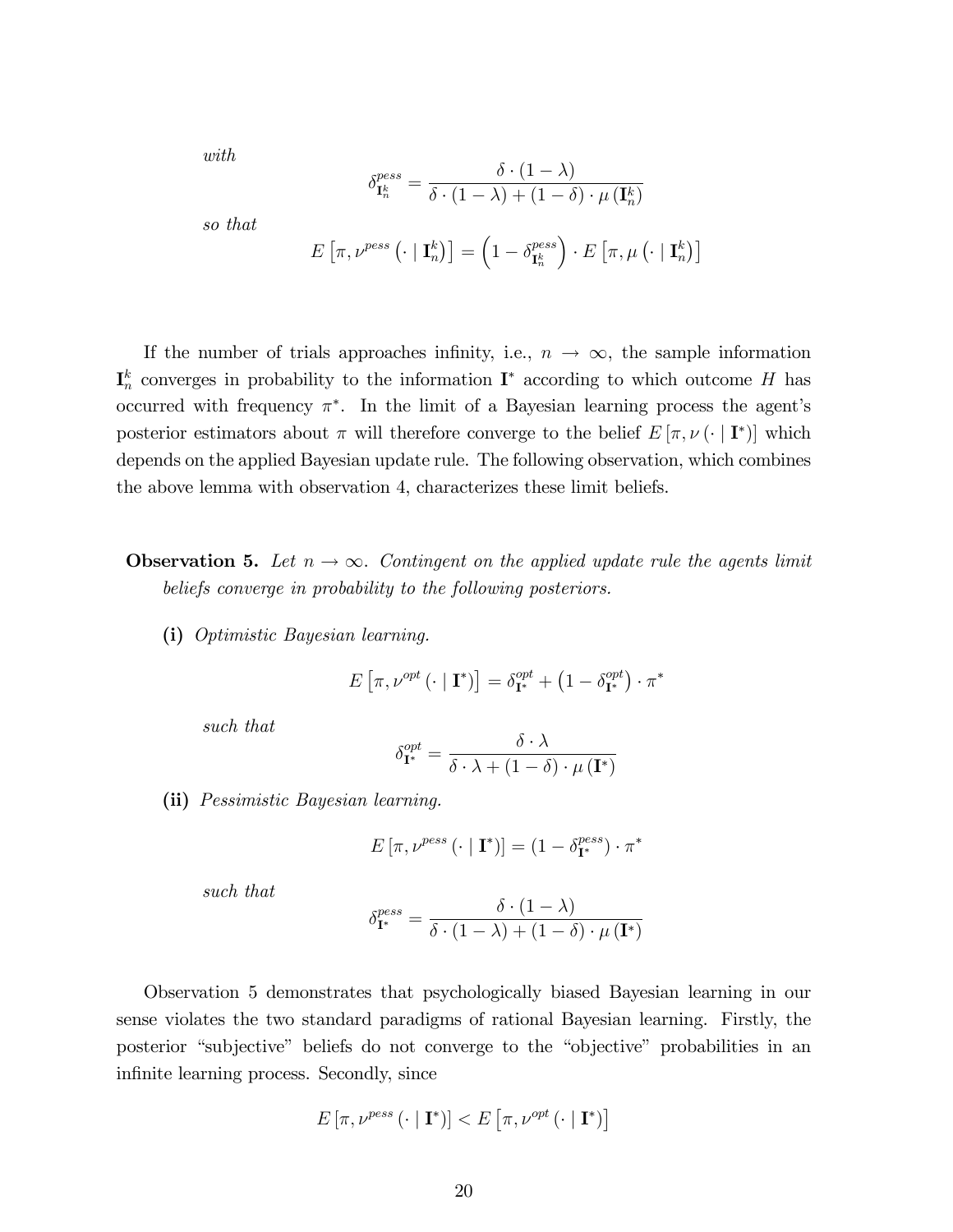with

$$
\delta_{\mathbf{I}_{n}^{k}}^{pess} = \frac{\delta \cdot (1-\lambda)}{\delta \cdot (1-\lambda) + (1-\delta) \cdot \mu(\mathbf{I}_{n}^{k})}
$$

so that

$$
E\left[\pi,\nu^{pess}\left(\cdot\mid \mathbf{I}_n^k\right)\right] = \left(1 - \delta_{\mathbf{I}_n^k}^{pess}\right) \cdot E\left[\pi, \mu\left(\cdot\mid \mathbf{I}_n^k\right)\right]
$$

If the number of trials approaches infinity, i.e.,  $n \to \infty$ , the sample information  $\mathbf{I}_n^k$  converges in probability to the information  $\mathbf{I}^*$  according to which outcome H has occurred with frequency  $\pi^*$ . In the limit of a Bayesian learning process the agent's posterior estimators about  $\pi$  will therefore converge to the belief  $E[\pi, \nu(\cdot | \mathbf{I}^*)]$  which depends on the applied Bayesian update rule. The following observation, which combines the above lemma with observation 4, characterizes these limit beliefs.

**Observation 5.** Let  $n \to \infty$ . Contingent on the applied update rule the agents limit beliefs converge in probability to the following posteriors.

(i) Optimistic Bayesian learning.

$$
E\left[\pi,\nu^{opt}\left(\cdot\mid\mathbf{I}^*\right)\right]=\delta_{\mathbf{I}^*}^{opt}+\left(1-\delta_{\mathbf{I}^*}^{opt}\right)\cdot\pi^*
$$

such that

$$
\delta_{\mathbf{I}^*}^{opt} = \frac{\delta \cdot \lambda}{\delta \cdot \lambda + (1 - \delta) \cdot \mu(\mathbf{I}^*)}
$$

(ii) Pessimistic Bayesian learning.

$$
E\left[\pi,\nu^{pess}\left(\cdot\mid \mathbf{I}^*\right)\right] = \left(1 - \delta_{\mathbf{I}^*}^{pess}\right) \cdot \pi^*
$$

such that

$$
\delta_{\mathbf{I}^*}^{pess} = \frac{\delta \cdot (1 - \lambda)}{\delta \cdot (1 - \lambda) + (1 - \delta) \cdot \mu(\mathbf{I}^*)}
$$

Observation 5 demonstrates that psychologically biased Bayesian learning in our sense violates the two standard paradigms of rational Bayesian learning. Firstly, the posterior "subjective" beliefs do not converge to the "objective" probabilities in an infinite learning process. Secondly, since

$$
E\left[\pi,\nu^{pess}\left(\cdot\mid\mathbf{I}^*\right)\right] < E\left[\pi,\nu^{opt}\left(\cdot\mid\mathbf{I}^*\right)\right]
$$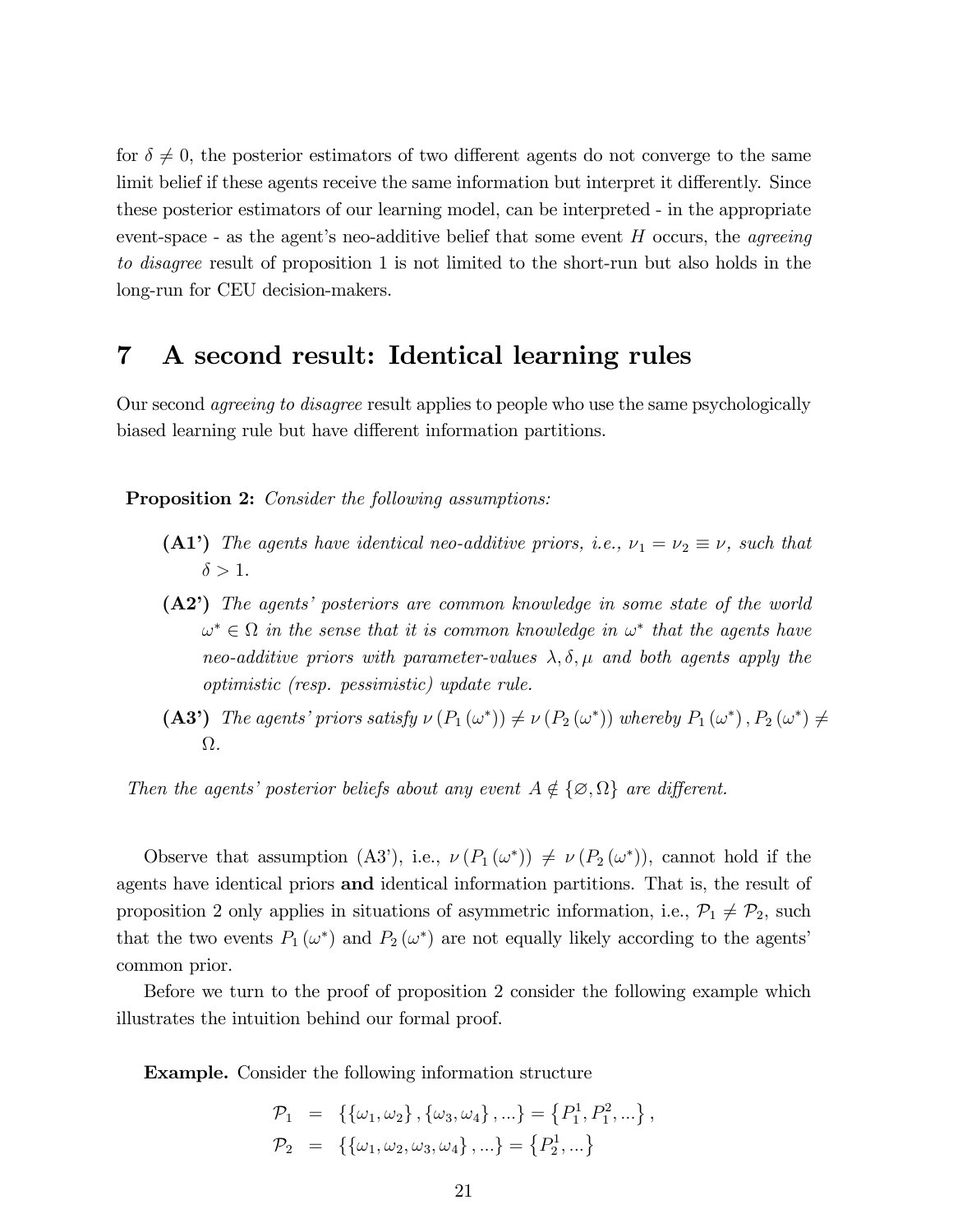for  $\delta \neq 0$ , the posterior estimators of two different agents do not converge to the same limit belief if these agents receive the same information but interpret it differently. Since these posterior estimators of our learning model, can be interpreted - in the appropriate event-space - as the agent's neo-additive belief that some event  $H$  occurs, the *agreeing* to disagree result of proposition 1 is not limited to the short-run but also holds in the long-run for CEU decision-makers.

# 7 A second result: Identical learning rules

Our second agreeing to disagree result applies to people who use the same psychologically biased learning rule but have different information partitions.

Proposition 2: *Consider the following assumptions:* 

- (A1') The agents have identical neo-additive priors, i.e.,  $\nu_1 = \nu_2 \equiv \nu$ , such that  $\delta > 1$ .
- $(A2<sup>r</sup>)$  The agents' posteriors are common knowledge in some state of the world  $\omega^* \in \Omega$  in the sense that it is common knowledge in  $\omega^*$  that the agents have neo-additive priors with parameter-values  $\lambda, \delta, \mu$  and both agents apply the optimistic (resp. pessimistic) update rule.

(A3') The agents' priors satisfy  $\nu(P_1(\omega^*)) \neq \nu(P_2(\omega^*))$  whereby  $P_1(\omega^*)$ ,  $P_2(\omega^*) \neq$  $\Omega.$ 

Then the agents' posterior beliefs about any event  $A \notin \{ \emptyset, \Omega \}$  are different.

Observe that assumption (A3'), i.e.,  $\nu(P_1(\omega^*)) \neq \nu(P_2(\omega^*))$ , cannot hold if the agents have identical priors and identical information partitions. That is, the result of proposition 2 only applies in situations of asymmetric information, i.e.,  $\mathcal{P}_1 \neq \mathcal{P}_2$ , such that the two events  $P_1(\omega^*)$  and  $P_2(\omega^*)$  are not equally likely according to the agents' common prior.

Before we turn to the proof of proposition 2 consider the following example which illustrates the intuition behind our formal proof.

Example. Consider the following information structure

$$
\mathcal{P}_1 = \left\{ \{\omega_1, \omega_2\}, \{\omega_3, \omega_4\}, \ldots \right\} = \left\{ P_1^1, P_1^2, \ldots \right\},
$$
  

$$
\mathcal{P}_2 = \left\{ \{\omega_1, \omega_2, \omega_3, \omega_4\}, \ldots \right\} = \left\{ P_2^1, \ldots \right\}
$$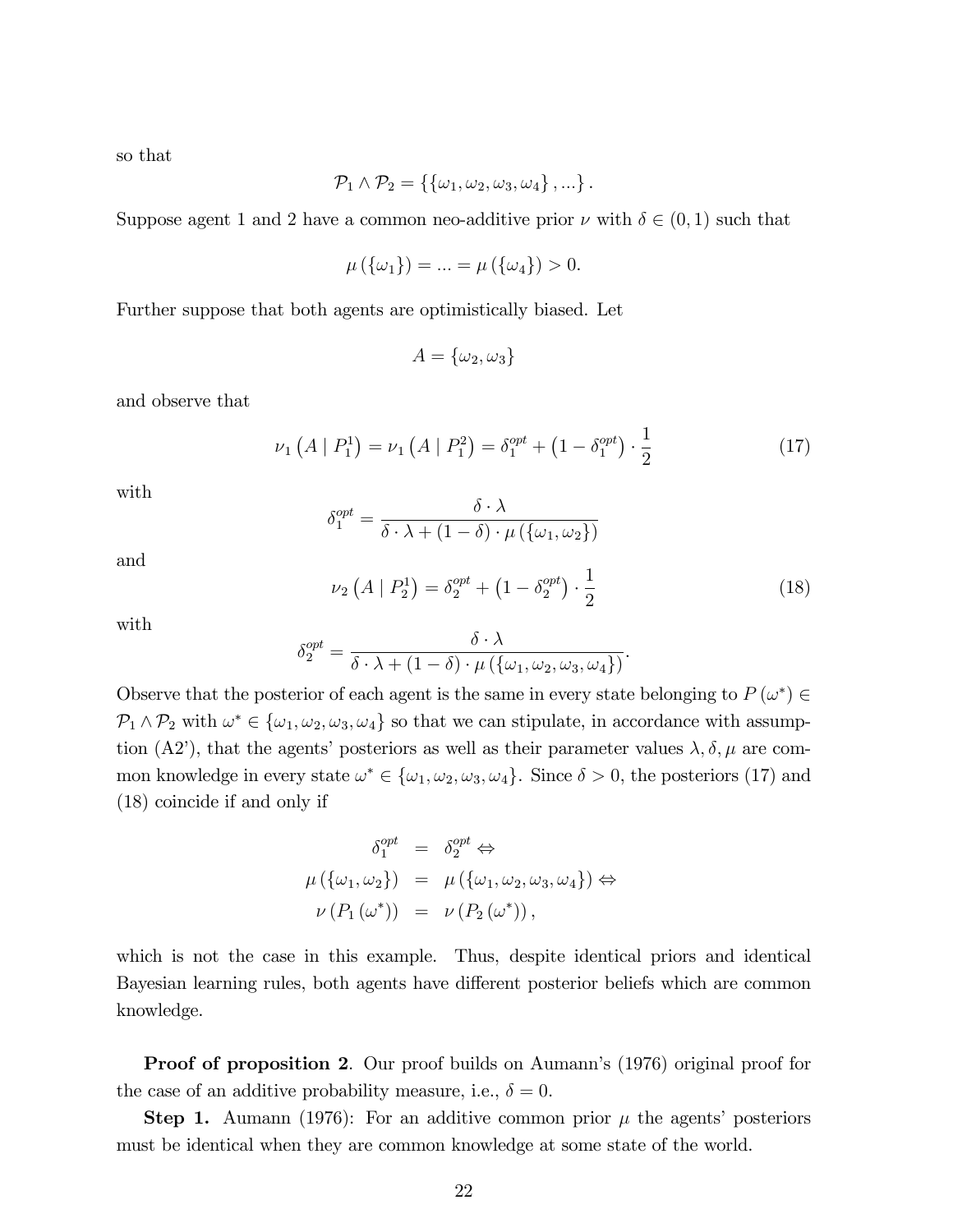so that

$$
\mathcal{P}_1 \wedge \mathcal{P}_2 = \left\{ \left\{ \omega_1, \omega_2, \omega_3, \omega_4 \right\}, \ldots \right\}.
$$

Suppose agent 1 and 2 have a common neo-additive prior  $\nu$  with  $\delta \in (0,1)$  such that

$$
\mu(\{\omega_1\}) = \ldots = \mu(\{\omega_4\}) > 0.
$$

Further suppose that both agents are optimistically biased. Let

$$
A=\{\omega_2,\omega_3\}
$$

and observe that

$$
\nu_1(A \mid P_1^1) = \nu_1(A \mid P_1^2) = \delta_1^{opt} + (1 - \delta_1^{opt}) \cdot \frac{1}{2}
$$
 (17)

with

$$
\delta_1^{opt} = \frac{\delta \cdot \lambda}{\delta \cdot \lambda + (1 - \delta) \cdot \mu (\{\omega_1, \omega_2\})}
$$

and

$$
\nu_2(A \mid P_2^1) = \delta_2^{opt} + (1 - \delta_2^{opt}) \cdot \frac{1}{2}
$$
 (18)

with

$$
\delta_2^{opt} = \frac{\delta \cdot \lambda}{\delta \cdot \lambda + (1 - \delta) \cdot \mu (\{\omega_1, \omega_2, \omega_3, \omega_4\})}.
$$

Observe that the posterior of each agent is the same in every state belonging to  $P(\omega^*) \in$  $P_1 \wedge P_2$  with  $\omega^* \in {\{\omega_1, \omega_2, \omega_3, \omega_4\}}$  so that we can stipulate, in accordance with assumption (A2'), that the agents' posteriors as well as their parameter values  $\lambda$ ,  $\delta$ ,  $\mu$  are common knowledge in every state  $\omega^* \in {\{\omega_1, \omega_2, \omega_3, \omega_4\}}$ . Since  $\delta > 0$ , the posteriors (17) and (18) coincide if and only if

$$
\delta_1^{opt} = \delta_2^{opt} \Leftrightarrow
$$
  
\n
$$
\mu(\{\omega_1, \omega_2\}) = \mu(\{\omega_1, \omega_2, \omega_3, \omega_4\}) \Leftrightarrow
$$
  
\n
$$
\nu(P_1(\omega^*)) = \nu(P_2(\omega^*))
$$

which is not the case in this example. Thus, despite identical priors and identical Bayesian learning rules, both agents have different posterior beliefs which are common knowledge.

**Proof of proposition 2.** Our proof builds on Aumann's (1976) original proof for the case of an additive probability measure, i.e.,  $\delta = 0$ .

**Step 1.** Aumann (1976): For an additive common prior  $\mu$  the agents' posteriors must be identical when they are common knowledge at some state of the world.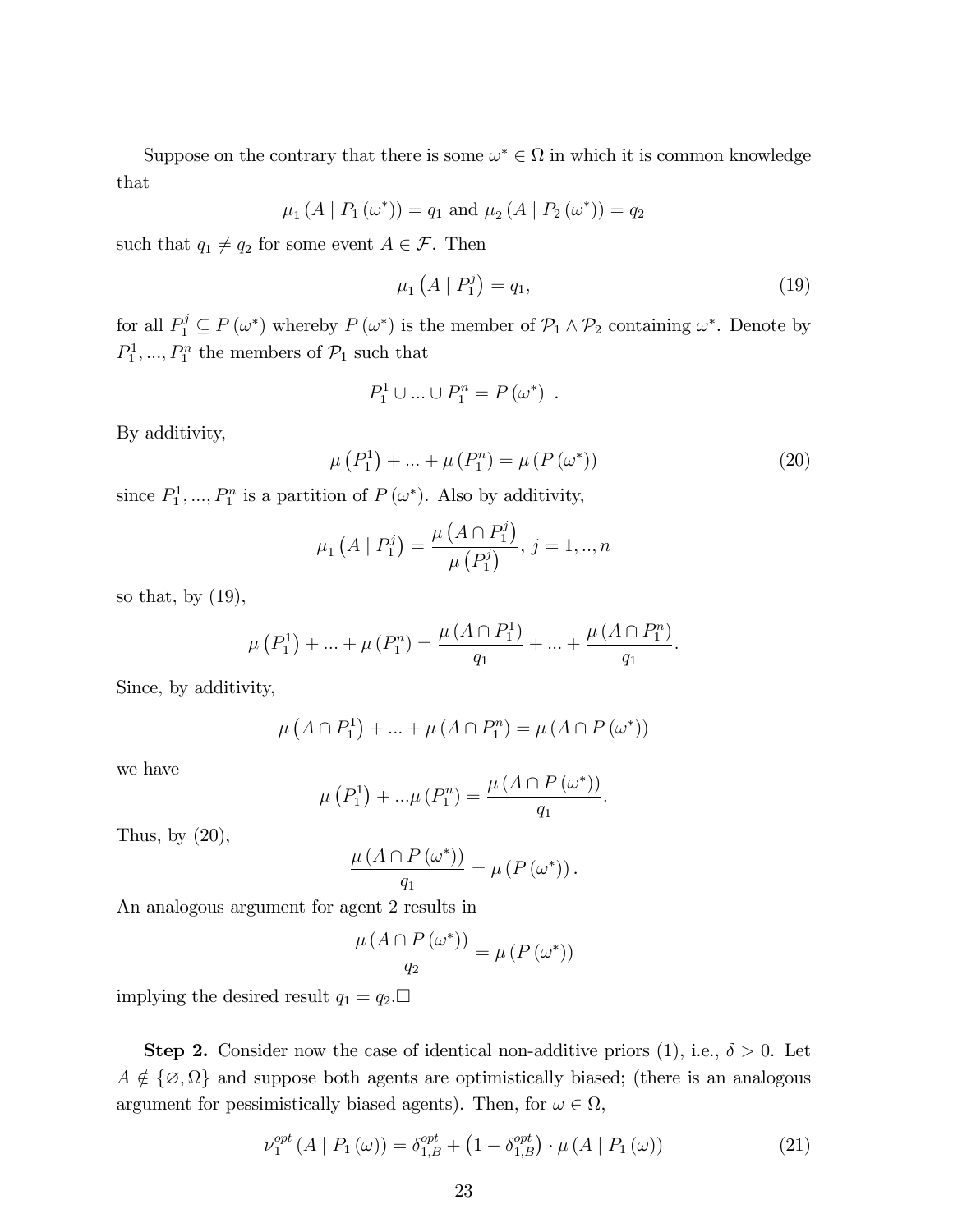Suppose on the contrary that there is some  $\omega^* \in \Omega$  in which it is common knowledge that

$$
\mu_1(A | P_1(\omega^*)) = q_1
$$
 and  $\mu_2(A | P_2(\omega^*)) = q_2$ 

such that  $q_1 \neq q_2$  for some event  $A \in \mathcal{F}$ . Then

$$
\mu_1(A \mid P_1^j) = q_1,\tag{19}
$$

for all  $P_1^j \subseteq P(\omega^*)$  whereby  $P(\omega^*)$  is the member of  $\mathcal{P}_1 \wedge \mathcal{P}_2$  containing  $\omega^*$ . Denote by  $P_1^1, ..., P_1^n$  the members of  $\mathcal{P}_1$  such that

$$
P_1^1 \cup ... \cup P_1^n = P(\omega^*) .
$$

By additivity,

$$
\mu(P_1^1) + \dots + \mu(P_1^n) = \mu(P(\omega^*))
$$
\n(20)

since  $P_1^1, ..., P_1^n$  is a partition of  $P(\omega^*)$ . Also by additivity,

$$
\mu_1(A | P_1^j) = \frac{\mu(A \cap P_1^j)}{\mu(P_1^j)}, j = 1, ..., n
$$

so that, by  $(19)$ ,

$$
\mu(P_1^1) + \ldots + \mu(P_1^n) = \frac{\mu(A \cap P_1^1)}{q_1} + \ldots + \frac{\mu(A \cap P_1^n)}{q_1}.
$$

Since, by additivity,

$$
\mu(A \cap P_1^1) + ... + \mu(A \cap P_1^n) = \mu(A \cap P(\omega^*))
$$

we have

$$
\mu(P_1^1) + \dots \mu(P_1^n) = \frac{\mu(A \cap P(\omega^*))}{q_1}.
$$

Thus, by  $(20)$ ,

$$
\frac{\mu(A \cap P(\omega^*))}{q_1} = \mu(P(\omega^*))\,.
$$

An analogous argument for agent 2 results in

$$
\frac{\mu(A\cap P(\omega^*))}{q_2} = \mu(P(\omega^*))
$$

implying the desired result  $q_1 = q_2$ .

**Step 2.** Consider now the case of identical non-additive priors (1), i.e.,  $\delta > 0$ . Let  $A \notin \{\emptyset, \Omega\}$  and suppose both agents are optimistically biased; (there is an analogous argument for pessimistically biased agents). Then, for  $\omega \in \Omega$ ,

$$
\nu_1^{opt}(A \mid P_1(\omega)) = \delta_{1,B}^{opt} + (1 - \delta_{1,B}^{opt}) \cdot \mu(A \mid P_1(\omega))
$$
\n(21)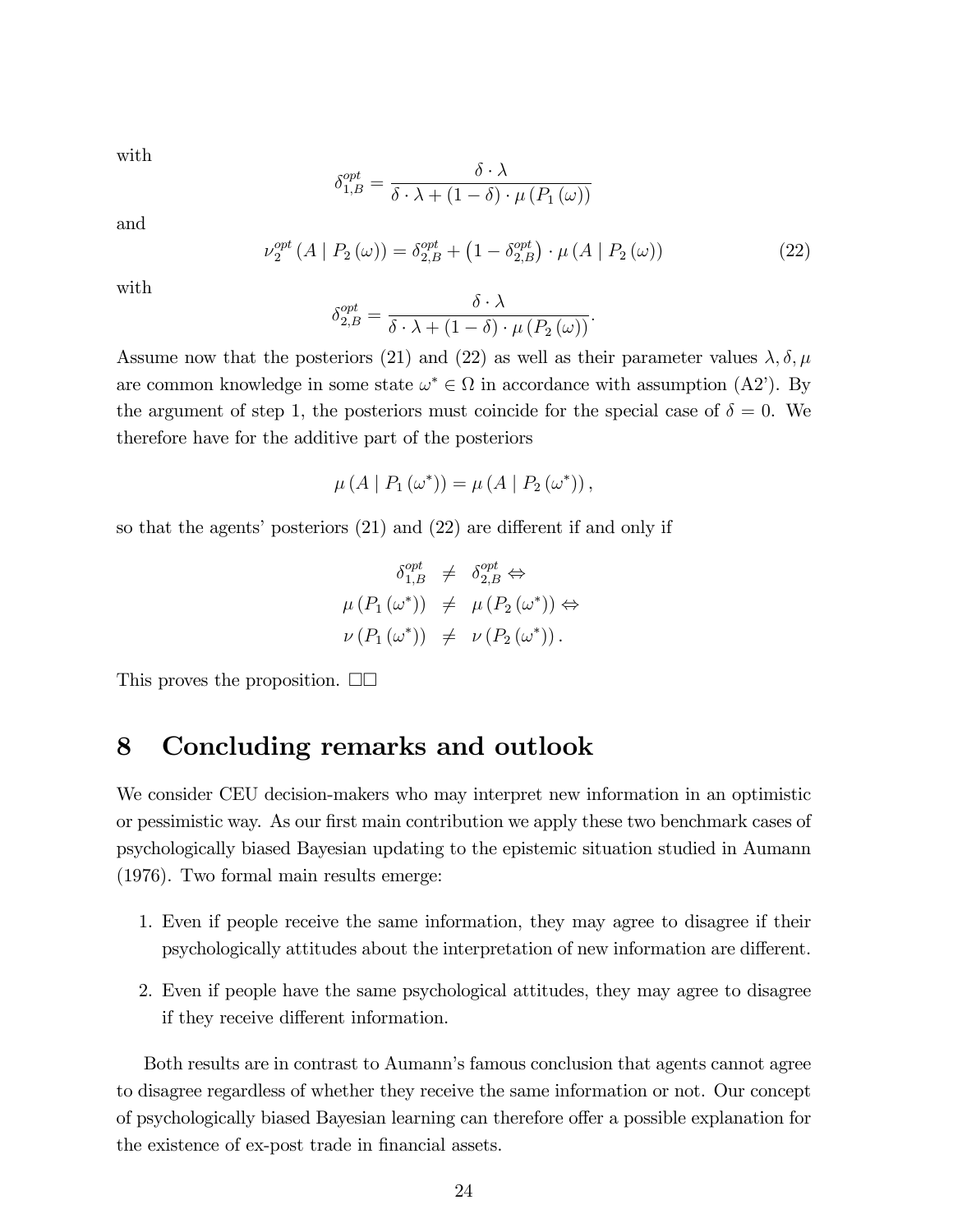with

$$
\delta_{1,B}^{opt} = \frac{\delta \cdot \lambda}{\delta \cdot \lambda + (1 - \delta) \cdot \mu (P_1(\omega))}
$$

and

$$
\nu_2^{opt}(A \mid P_2(\omega)) = \delta_{2,B}^{opt} + (1 - \delta_{2,B}^{opt}) \cdot \mu(A \mid P_2(\omega))
$$
 (22)

with

$$
\delta_{2,B}^{opt} = \frac{\delta \cdot \lambda}{\delta \cdot \lambda + (1 - \delta) \cdot \mu (P_2(\omega))}.
$$

Assume now that the posteriors (21) and (22) as well as their parameter values  $\lambda, \delta, \mu$ are common knowledge in some state  $\omega^* \in \Omega$  in accordance with assumption (A2'). By the argument of step 1, the posteriors must coincide for the special case of  $\delta = 0$ . We therefore have for the additive part of the posteriors

$$
\mu(A | P_1(\omega^*)) = \mu(A | P_2(\omega^*))
$$

so that the agents' posteriors  $(21)$  and  $(22)$  are different if and only if

$$
\delta_{1,B}^{opt} \neq \delta_{2,B}^{opt} \Leftrightarrow
$$
  
\n
$$
\mu(P_1(\omega^*)) \neq \mu(P_2(\omega^*)) \Leftrightarrow
$$
  
\n
$$
\nu(P_1(\omega^*)) \neq \nu(P_2(\omega^*))
$$
.

This proves the proposition.  $\Box\Box$ 

# 8 Concluding remarks and outlook

We consider CEU decision-makers who may interpret new information in an optimistic or pessimistic way. As our first main contribution we apply these two benchmark cases of psychologically biased Bayesian updating to the epistemic situation studied in Aumann (1976). Two formal main results emerge:

- 1. Even if people receive the same information, they may agree to disagree if their psychologically attitudes about the interpretation of new information are different.
- 2. Even if people have the same psychological attitudes, they may agree to disagree if they receive different information.

Both results are in contrast to Aumann's famous conclusion that agents cannot agree to disagree regardless of whether they receive the same information or not. Our concept of psychologically biased Bayesian learning can therefore offer a possible explanation for the existence of ex-post trade in financial assets.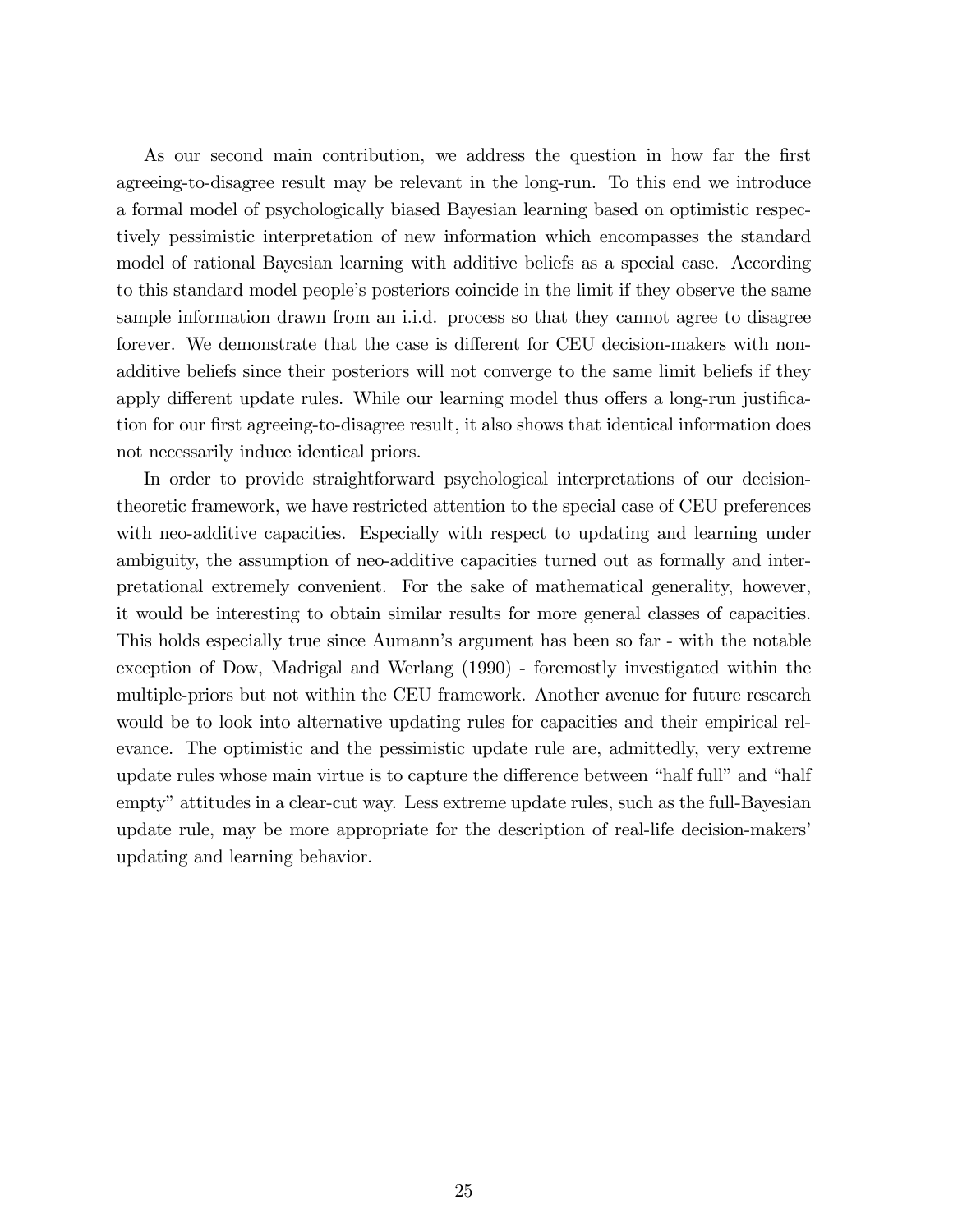As our second main contribution, we address the question in how far the first agreeing-to-disagree result may be relevant in the long-run. To this end we introduce a formal model of psychologically biased Bayesian learning based on optimistic respectively pessimistic interpretation of new information which encompasses the standard model of rational Bayesian learning with additive beliefs as a special case. According to this standard model people's posteriors coincide in the limit if they observe the same sample information drawn from an i.i.d. process so that they cannot agree to disagree forever. We demonstrate that the case is different for CEU decision-makers with nonadditive beliefs since their posteriors will not converge to the same limit beliefs if they apply different update rules. While our learning model thus offers a long-run justification for our first agreeing-to-disagree result, it also shows that identical information does not necessarily induce identical priors.

In order to provide straightforward psychological interpretations of our decisiontheoretic framework, we have restricted attention to the special case of CEU preferences with neo-additive capacities. Especially with respect to updating and learning under ambiguity, the assumption of neo-additive capacities turned out as formally and interpretational extremely convenient. For the sake of mathematical generality, however, it would be interesting to obtain similar results for more general classes of capacities. This holds especially true since Aumann's argument has been so far - with the notable exception of Dow, Madrigal and Werlang (1990) - foremostly investigated within the multiple-priors but not within the CEU framework. Another avenue for future research would be to look into alternative updating rules for capacities and their empirical relevance. The optimistic and the pessimistic update rule are, admittedly, very extreme update rules whose main virtue is to capture the difference between "half full" and "half empty" attitudes in a clear-cut way. Less extreme update rules, such as the full-Bayesian update rule, may be more appropriate for the description of real-life decision-makersí updating and learning behavior.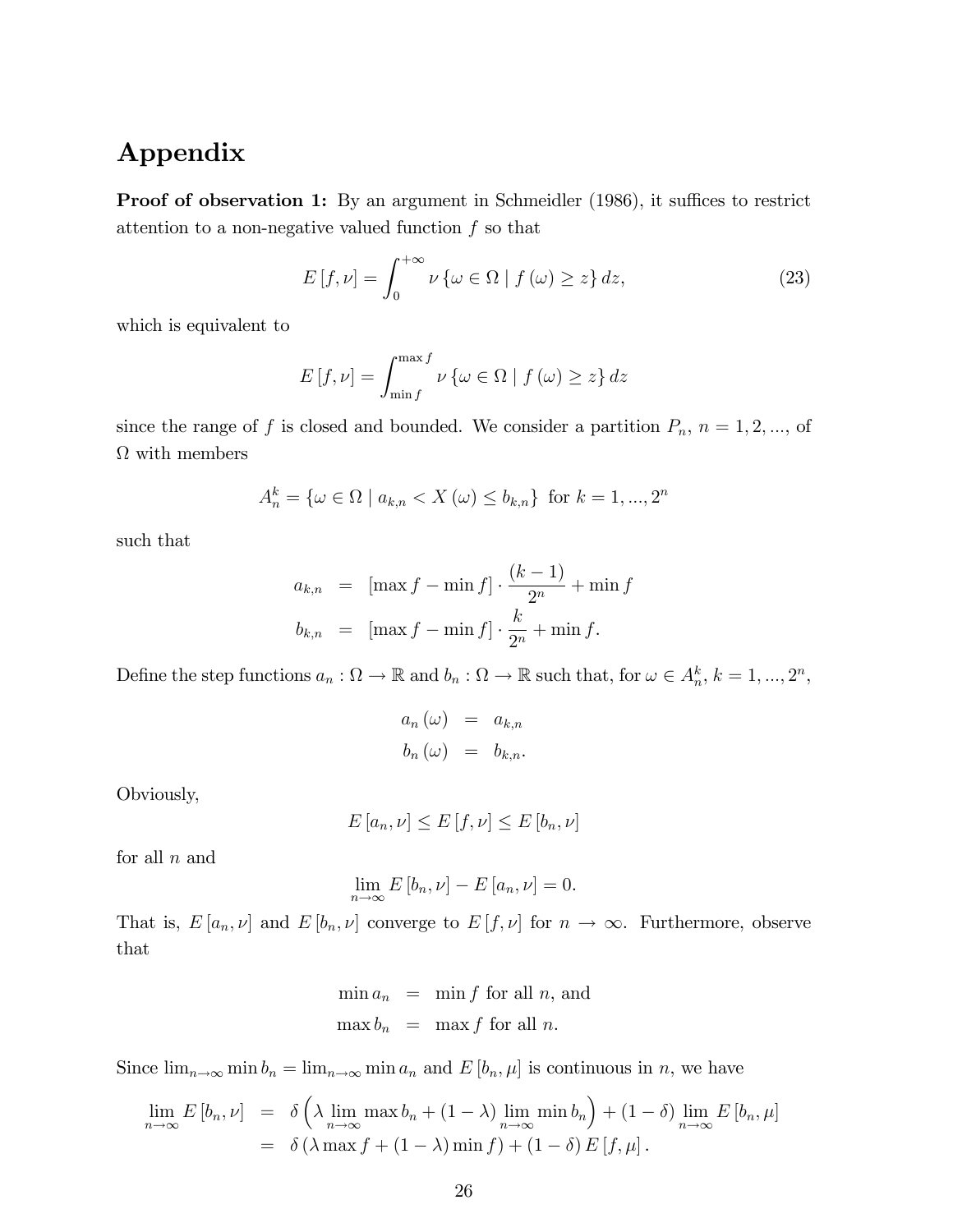# Appendix

**Proof of observation 1:** By an argument in Schmeidler (1986), it suffices to restrict attention to a non-negative valued function  $f$  so that

$$
E[f,\nu] = \int_0^{+\infty} \nu \left\{ \omega \in \Omega \mid f(\omega) \ge z \right\} dz, \tag{23}
$$

which is equivalent to

$$
E[f,\nu] = \int_{\min f}^{\max f} \nu \{ \omega \in \Omega \mid f(\omega) \ge z \} dz
$$

since the range of f is closed and bounded. We consider a partition  $P_n$ ,  $n = 1, 2, ...,$  of  $\Omega$  with members

$$
A_n^k = \{ \omega \in \Omega \mid a_{k,n} < X(\omega) \le b_{k,n} \} \text{ for } k = 1, \dots, 2^n
$$

such that

$$
a_{k,n} = \left[\max f - \min f\right] \cdot \frac{(k-1)}{2^n} + \min f
$$

$$
b_{k,n} = \left[\max f - \min f\right] \cdot \frac{k}{2^n} + \min f.
$$

Define the step functions  $a_n : \Omega \to \mathbb{R}$  and  $b_n : \Omega \to \mathbb{R}$  such that, for  $\omega \in A_n^k$ ,  $k = 1, ..., 2^n$ ,

$$
a_n(\omega) = a_{k,n}
$$
  

$$
b_n(\omega) = b_{k,n}.
$$

Obviously,

$$
E[a_n, \nu] \le E[f, \nu] \le E[b_n, \nu]
$$

for all  $n$  and

$$
\lim_{n \to \infty} E[b_n, \nu] - E[a_n, \nu] = 0.
$$

That is,  $E[a_n, \nu]$  and  $E[b_n, \nu]$  converge to  $E[f, \nu]$  for  $n \to \infty$ . Furthermore, observe that

$$
\min a_n = \min f \text{ for all } n, \text{ and}
$$

$$
\max b_n = \max f \text{ for all } n.
$$

Since  $\lim_{n\to\infty} \min b_n = \lim_{n\to\infty} \min a_n$  and  $E [b_n, \mu]$  is continuous in n, we have

$$
\lim_{n \to \infty} E[b_n, \nu] = \delta\left(\lambda \lim_{n \to \infty} \max b_n + (1 - \lambda) \lim_{n \to \infty} \min b_n\right) + (1 - \delta) \lim_{n \to \infty} E[b_n, \mu]
$$
  
=  $\delta(\lambda \max f + (1 - \lambda) \min f) + (1 - \delta) E[f, \mu].$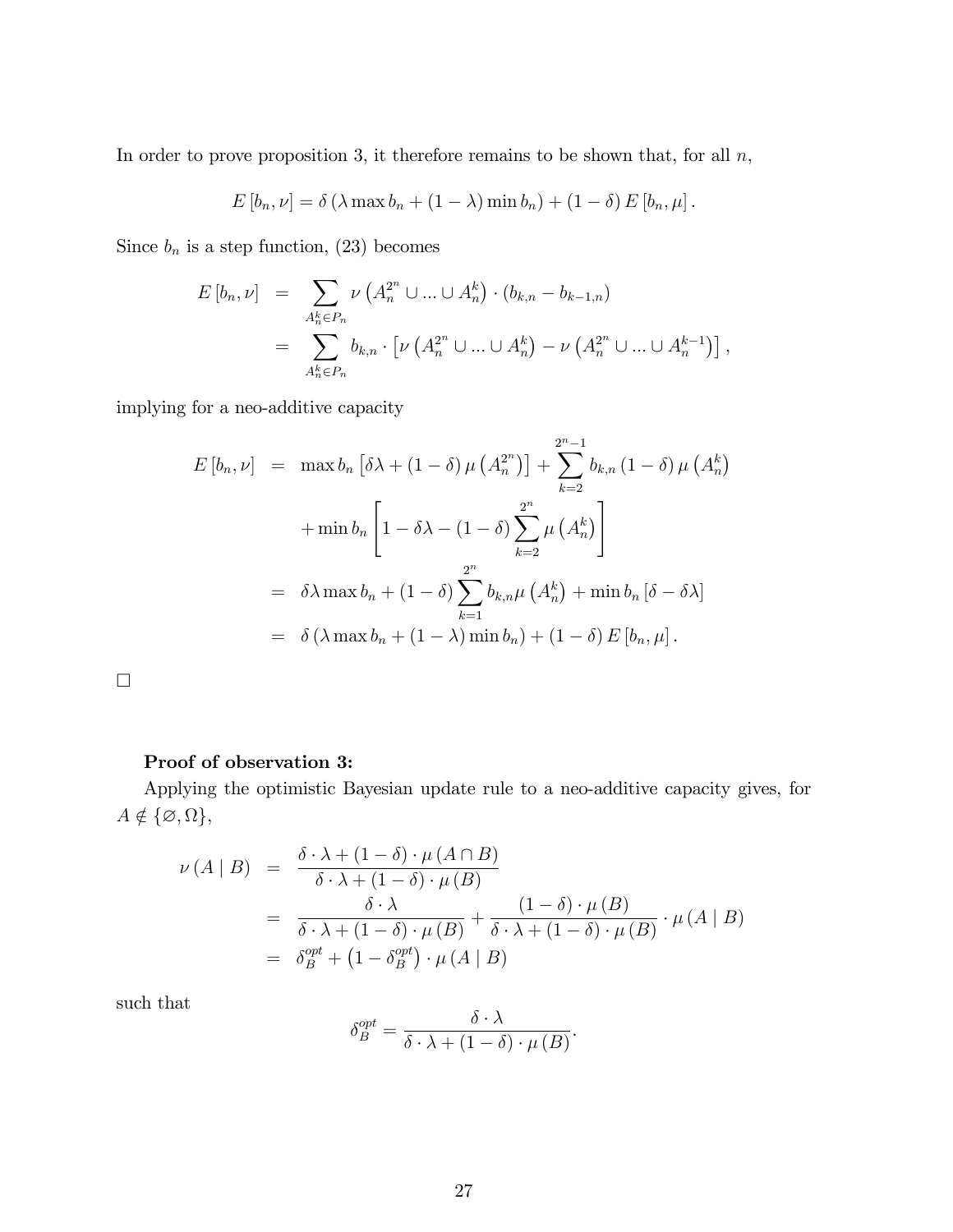In order to prove proposition 3, it therefore remains to be shown that, for all  $n$ ,

$$
E[b_n, \nu] = \delta \left( \lambda \max b_n + (1 - \lambda) \min b_n \right) + (1 - \delta) E[b_n, \mu].
$$

Since  $b_n$  is a step function, (23) becomes

$$
E [b_n, \nu] = \sum_{A_n^k \in P_n} \nu (A_n^{2^n} \cup ... \cup A_n^k) \cdot (b_{k,n} - b_{k-1,n})
$$
  
= 
$$
\sum_{A_n^k \in P_n} b_{k,n} \cdot [\nu (A_n^{2^n} \cup ... \cup A_n^k) - \nu (A_n^{2^n} \cup ... \cup A_n^{k-1})],
$$

implying for a neo-additive capacity

$$
E\left[b_n, \nu\right] = \max b_n \left[\delta \lambda + (1 - \delta) \mu \left(A_n^{2^n}\right)\right] + \sum_{k=2}^{2^n - 1} b_{k,n} \left(1 - \delta \right) \mu \left(A_n^k\right)
$$

$$
+ \min b_n \left[1 - \delta \lambda - (1 - \delta) \sum_{k=2}^{2^n} \mu \left(A_n^k\right)\right]
$$

$$
= \delta \lambda \max b_n + (1 - \delta) \sum_{k=1}^{2^n} b_{k,n} \mu \left(A_n^k\right) + \min b_n \left[\delta - \delta \lambda\right]
$$

$$
= \delta \left(\lambda \max b_n + (1 - \lambda) \min b_n\right) + (1 - \delta) E\left[b_n, \mu\right].
$$

 $\Box$ 

#### Proof of observation 3:

Applying the optimistic Bayesian update rule to a neo-additive capacity gives, for  $A \notin \{\varnothing, \Omega\},\$ 

$$
\nu(A \mid B) = \frac{\delta \cdot \lambda + (1 - \delta) \cdot \mu(A \cap B)}{\delta \cdot \lambda + (1 - \delta) \cdot \mu(B)}
$$
  
= 
$$
\frac{\delta \cdot \lambda}{\delta \cdot \lambda + (1 - \delta) \cdot \mu(B)} + \frac{(1 - \delta) \cdot \mu(B)}{\delta \cdot \lambda + (1 - \delta) \cdot \mu(B)} \cdot \mu(A \mid B)
$$
  
= 
$$
\delta_B^{opt} + (1 - \delta_B^{opt}) \cdot \mu(A \mid B)
$$

such that

$$
\delta_B^{opt} = \frac{\delta \cdot \lambda}{\delta \cdot \lambda + (1 - \delta) \cdot \mu(B)}.
$$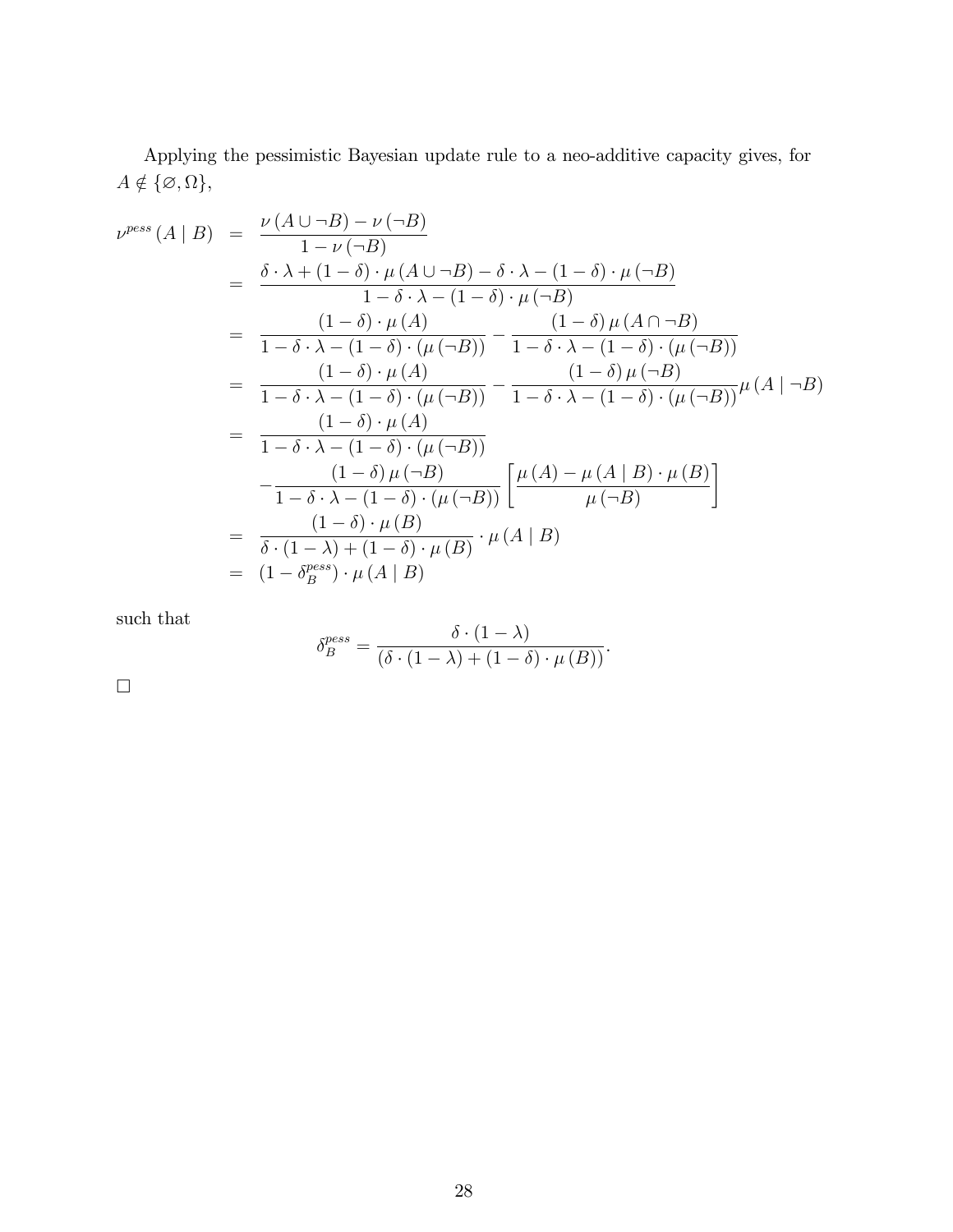Applying the pessimistic Bayesian update rule to a neo-additive capacity gives, for  $A \notin \{\varnothing, \Omega\},\$ 

$$
\nu^{pess}(A \mid B) = \frac{\nu(A \cup \neg B) - \nu(\neg B)}{1 - \nu(\neg B)}
$$
\n
$$
= \frac{\delta \cdot \lambda + (1 - \delta) \cdot \mu(A \cup \neg B) - \delta \cdot \lambda - (1 - \delta) \cdot \mu(\neg B)}{1 - \delta \cdot \lambda - (1 - \delta) \cdot \mu(\neg B)}
$$
\n
$$
= \frac{(1 - \delta) \cdot \mu(A)}{1 - \delta \cdot \lambda - (1 - \delta) \cdot (\mu(\neg B))} - \frac{(1 - \delta) \mu(A \cap \neg B)}{1 - \delta \cdot \lambda - (1 - \delta) \cdot (\mu(\neg B))}
$$
\n
$$
= \frac{(1 - \delta) \cdot \mu(A)}{1 - \delta \cdot \lambda - (1 - \delta) \cdot (\mu(\neg B))} - \frac{(1 - \delta) \mu(\neg B)}{1 - \delta \cdot \lambda - (1 - \delta) \cdot (\mu(\neg B))} \mu(A \mid \neg B)
$$
\n
$$
= \frac{(1 - \delta) \cdot \mu(A)}{1 - \delta \cdot \lambda - (1 - \delta) \cdot (\mu(\neg B))}
$$
\n
$$
= \frac{(1 - \delta) \cdot \mu(\neg B)}{1 - \delta \cdot \lambda - (1 - \delta) \cdot (\mu(\neg B))} \left[ \frac{\mu(A) - \mu(A \mid B) \cdot \mu(B)}{\mu(\neg B)} \right]
$$
\n
$$
= \frac{(1 - \delta) \cdot \mu(B)}{\delta \cdot (1 - \lambda) + (1 - \delta) \cdot \mu(B)} \cdot \mu(A \mid B)
$$
\n
$$
= (1 - \delta^{pess}_{B}) \cdot \mu(A \mid B)
$$

such that

$$
\delta_B^{pess} = \frac{\delta \cdot (1 - \lambda)}{(\delta \cdot (1 - \lambda) + (1 - \delta) \cdot \mu(B))}.
$$

 $\hfill \square$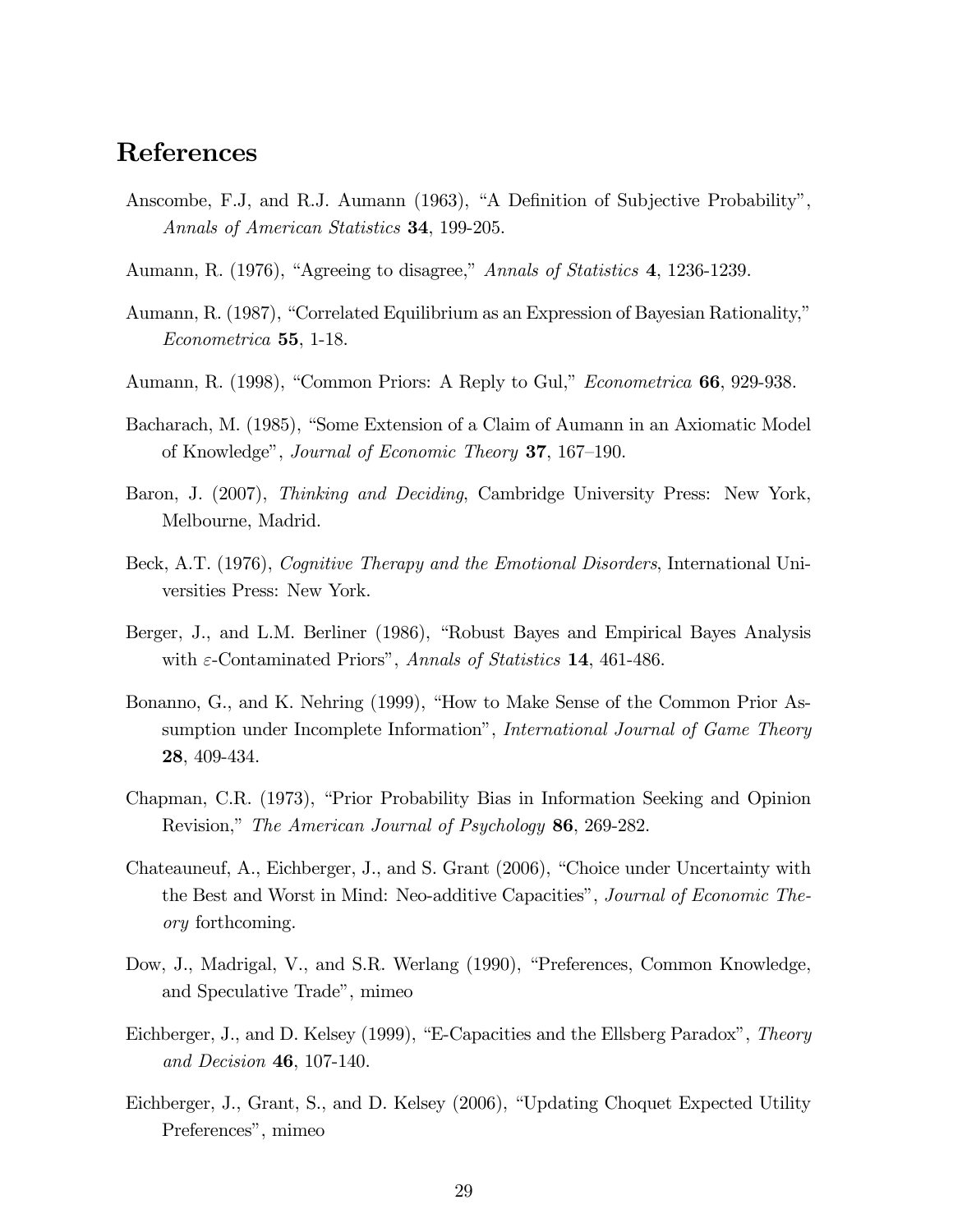# References

- Anscombe, F.J, and R.J. Aumann (1963), "A Definition of Subjective Probability", Annals of American Statistics 34, 199-205.
- Aumann, R. (1976), "Agreeing to disagree," Annals of Statistics 4, 1236-1239.
- Aumann, R. (1987), "Correlated Equilibrium as an Expression of Bayesian Rationality,"  $Econometrica$  55, 1-18.
- Aumann, R. (1998), "Common Priors: A Reply to Gul," *Econometrica* 66, 929-938.
- Bacharach, M. (1985), "Some Extension of a Claim of Aumann in an Axiomatic Model of Knowledge", Journal of Economic Theory 37, 167–190.
- Baron, J. (2007), Thinking and Deciding, Cambridge University Press: New York, Melbourne, Madrid.
- Beck, A.T. (1976), *Cognitive Therapy and the Emotional Disorders*, International Universities Press: New York.
- Berger, J., and L.M. Berliner (1986), "Robust Bayes and Empirical Bayes Analysis with  $\varepsilon$ -Contaminated Priors", Annals of Statistics 14, 461-486.
- Bonanno, G., and K. Nehring (1999), "How to Make Sense of the Common Prior Assumption under Incomplete Information", International Journal of Game Theory 28, 409-434.
- Chapman, C.R. (1973), "Prior Probability Bias in Information Seeking and Opinion Revision," The American Journal of Psychology 86, 269-282.
- Chateauneuf, A., Eichberger, J., and S. Grant (2006), "Choice under Uncertainty with the Best and Worst in Mind: Neo-additive Capacities", *Journal of Economic Theory* forthcoming.
- Dow, J., Madrigal, V., and S.R. Werlang (1990), "Preferences, Common Knowledge, and Speculative Trade", mimeo
- Eichberger, J., and D. Kelsey (1999), "E-Capacities and the Ellsberg Paradox", Theory and Decision  $46, 107-140.$
- Eichberger, J., Grant, S., and D. Kelsey (2006), "Updating Choquet Expected Utility Preferences", mimeo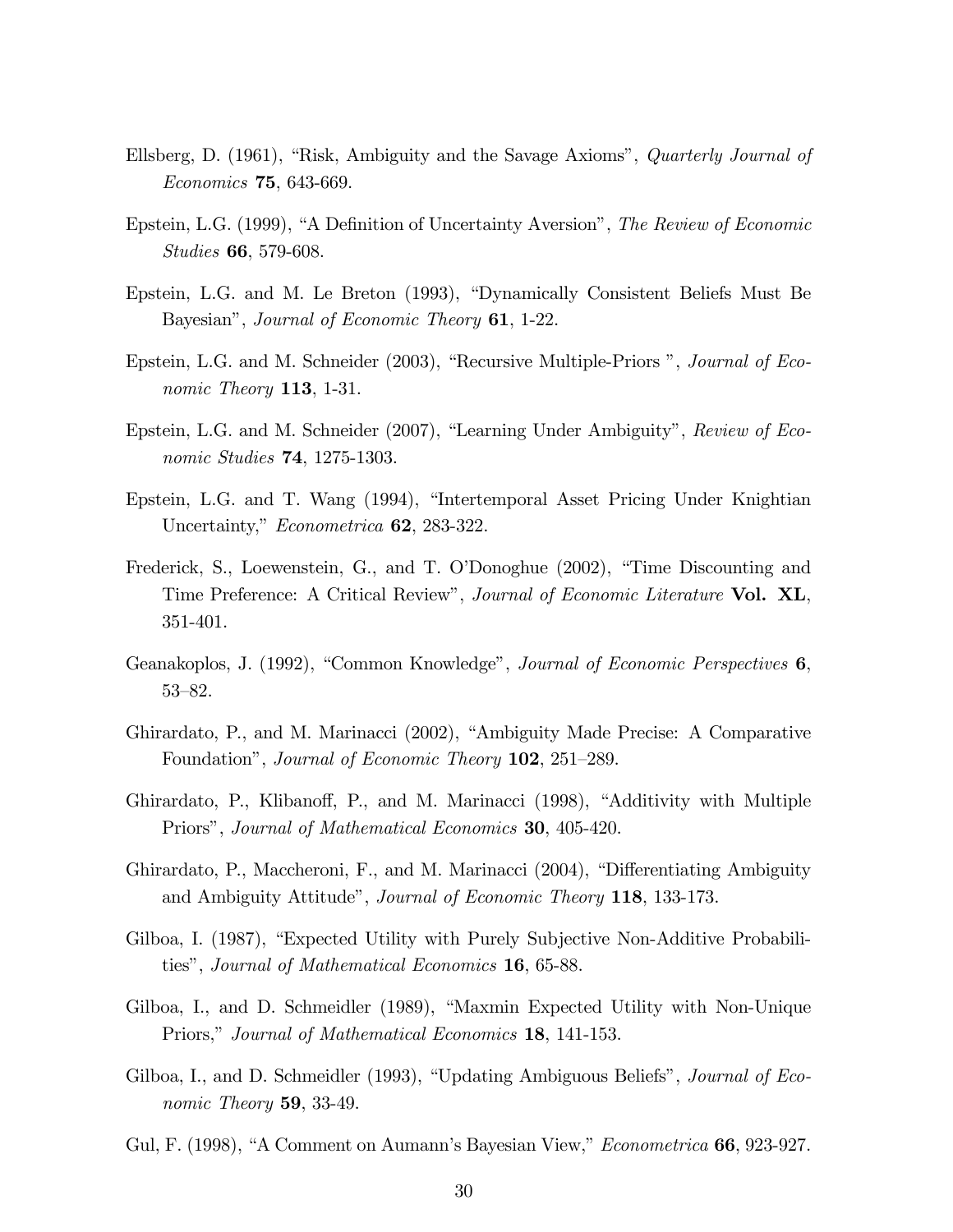- Ellsberg, D. (1961), "Risk, Ambiguity and the Savage Axioms", Quarterly Journal of Economics 75, 643-669.
- Epstein, L.G. (1999), "A Definition of Uncertainty Aversion", The Review of Economic Studies 66, 579-608.
- Epstein, L.G. and M. Le Breton (1993), "Dynamically Consistent Beliefs Must Be Bayesian", Journal of Economic Theory 61, 1-22.
- Epstein, L.G. and M. Schneider (2003), "Recursive Multiple-Priors", Journal of Eco*nomic Theory* 113, 1-31.
- Epstein, L.G. and M. Schneider (2007), "Learning Under Ambiguity", Review of Eco*nomic Studies* **74**, 1275-1303.
- Epstein, L.G. and T. Wang (1994), "Intertemporal Asset Pricing Under Knightian Uncertainty," *Econometrica* 62, 283-322.
- Frederick, S., Loewenstein, G., and T. O'Donoghue (2002), "Time Discounting and Time Preference: A Critical Review", Journal of Economic Literature Vol. XL, 351-401.
- Geanakoplos, J. (1992), "Common Knowledge", Journal of Economic Perspectives 6,  $53 - 82.$
- Ghirardato, P., and M. Marinacci (2002), "Ambiguity Made Precise: A Comparative Foundation", Journal of Economic Theory 102, 251–289.
- Ghirardato, P., Klibanoff, P., and M. Marinacci (1998), "Additivity with Multiple Priors", Journal of Mathematical Economics 30, 405-420.
- Ghirardato, P., Maccheroni, F., and M. Marinacci (2004), "Differentiating Ambiguity and Ambiguity Attitude", Journal of Economic Theory 118, 133-173.
- Gilboa, I. (1987), "Expected Utility with Purely Subjective Non-Additive Probabilities", Journal of Mathematical Economics 16, 65-88.
- Gilboa, I., and D. Schmeidler (1989), "Maxmin Expected Utility with Non-Unique Priors," Journal of Mathematical Economics 18, 141-153.
- Gilboa, I., and D. Schmeidler (1993), "Updating Ambiguous Beliefs", Journal of Economic Theory 59, 33-49.
- Gul, F. (1998), "A Comment on Aumann's Bayesian View," *Econometrica* 66, 923-927.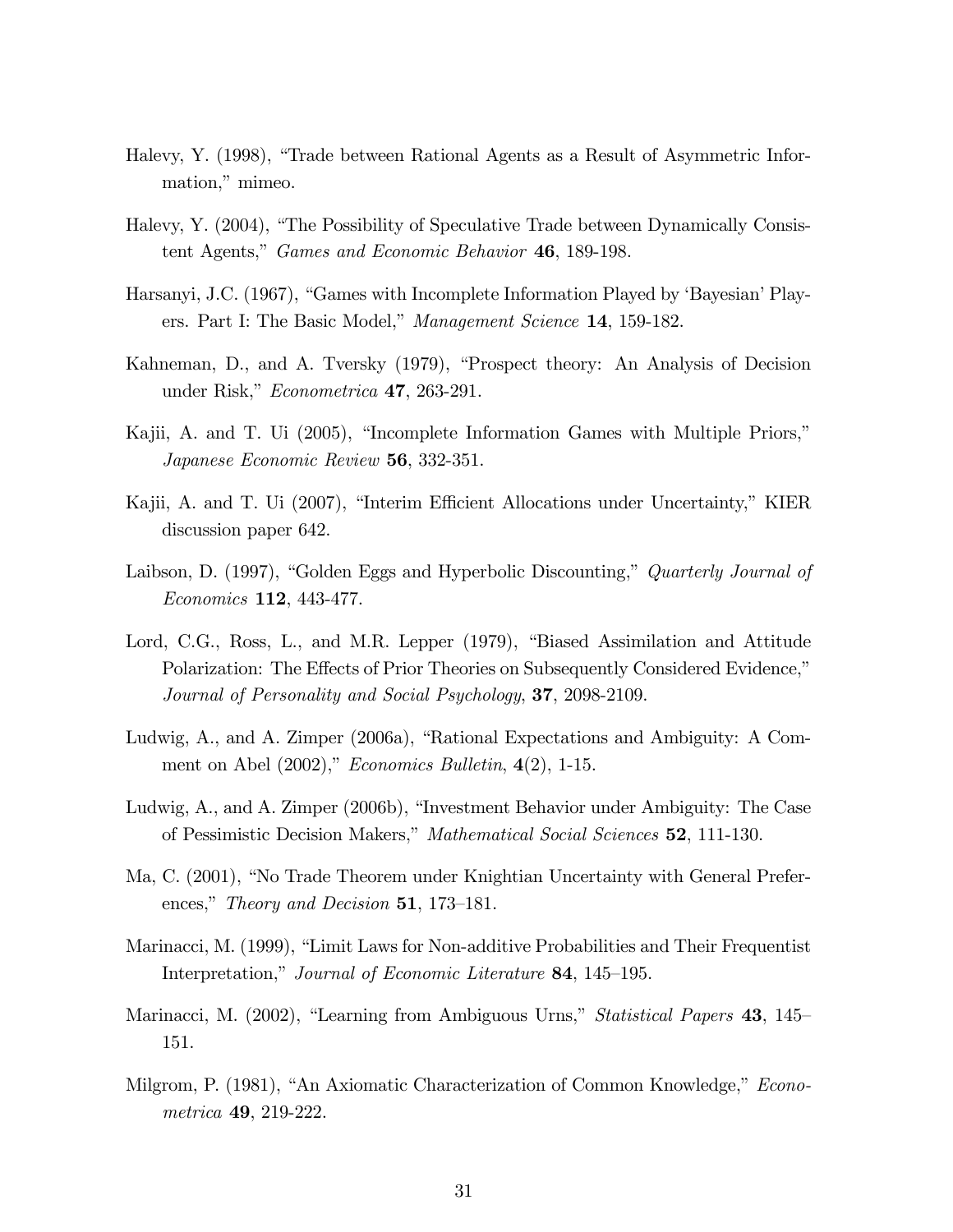- Halevy, Y. (1998). "Trade between Rational Agents as a Result of Asymmetric Information," mimeo.
- Halevy, Y. (2004), "The Possibility of Speculative Trade between Dynamically Consistent Agents," *Games and Economic Behavior* 46, 189-198.
- Harsanyi, J.C. (1967), "Games with Incomplete Information Played by 'Bayesian' Players. Part I: The Basic Model," Management Science 14, 159-182.
- Kahneman, D., and A. Tversky (1979), "Prospect theory: An Analysis of Decision under Risk," *Econometrica* 47, 263-291.
- Kajii, A. and T. Ui (2005), "Incomplete Information Games with Multiple Priors," Japanese Economic Review 56, 332-351.
- Kajii, A. and T. Ui (2007), "Interim Efficient Allocations under Uncertainty," KIER discussion paper 642.
- Laibson, D. (1997), "Golden Eggs and Hyperbolic Discounting," Quarterly Journal of *Economics* 112, 443-477.
- Lord, C.G., Ross, L., and M.R. Lepper (1979), "Biased Assimilation and Attitude Polarization: The Effects of Prior Theories on Subsequently Considered Evidence," Journal of Personality and Social Psychology, 37, 2098-2109.
- Ludwig, A., and A. Zimper (2006a), "Rational Expectations and Ambiguity: A Comment on Abel  $(2002)$ ," *Economics Bulletin*,  $4(2)$ , 1-15.
- Ludwig, A., and A. Zimper (2006b), "Investment Behavior under Ambiguity: The Case of Pessimistic Decision Makers," *Mathematical Social Sciences* 52, 111-130.
- Ma, C. (2001), "No Trade Theorem under Knightian Uncertainty with General Preferences," Theory and Decision  $51$ , 173-181.
- Marinacci, M. (1999), "Limit Laws for Non-additive Probabilities and Their Frequentist Interpretation," Journal of Economic Literature 84, 145–195.
- Marinacci, M. (2002), "Learning from Ambiguous Urns," *Statistical Papers* 43, 145– 151.
- Milgrom, P. (1981), "An Axiomatic Characterization of Common Knowledge," *Econo*metrica 49, 219-222.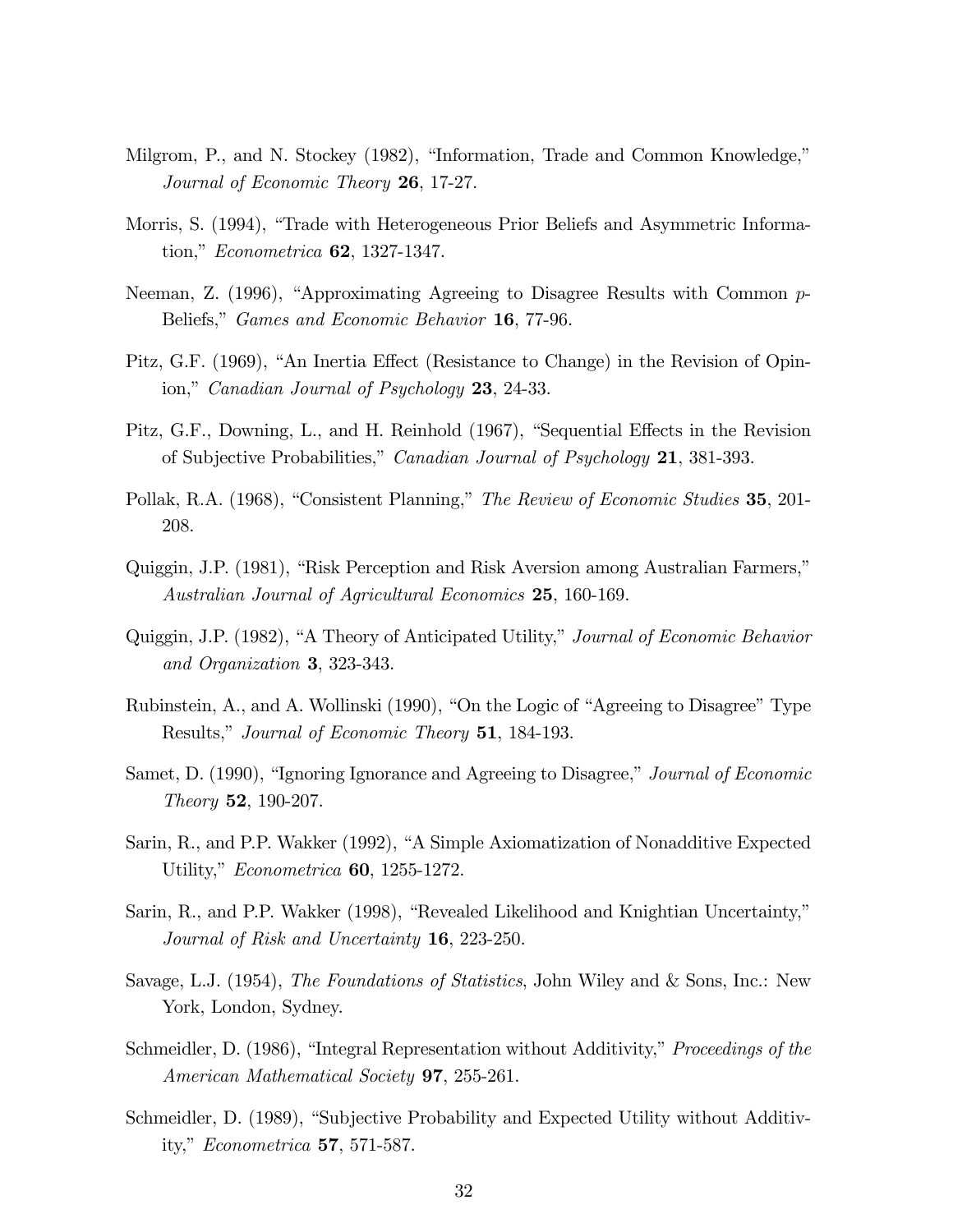- Milgrom, P., and N. Stockey (1982), "Information, Trade and Common Knowledge," Journal of Economic Theory 26, 17-27.
- Morris, S. (1994), "Trade with Heterogeneous Prior Beliefs and Asymmetric Information," *Econometrica* **62**, 1327-1347.
- Neeman, Z. (1996), "Approximating Agreeing to Disagree Results with Common  $p$ -Beliefs," *Games and Economic Behavior* 16, 77-96.
- Pitz, G.F. (1969), "An Inertia Effect (Resistance to Change) in the Revision of Opinion," *Canadian Journal of Psychology* 23, 24-33.
- Pitz, G.F., Downing, L., and H. Reinhold (1967), "Sequential Effects in the Revision of Subjective Probabilities," *Canadian Journal of Psychology* 21, 381-393.
- Pollak, R.A. (1968), "Consistent Planning," The Review of Economic Studies 35, 201-208.
- Quiggin, J.P. (1981), "Risk Perception and Risk Aversion among Australian Farmers," Australian Journal of Agricultural Economics 25, 160-169.
- Quiggin, J.P. (1982), "A Theory of Anticipated Utility," Journal of Economic Behavior and Organization  $3, 323-343$ .
- Rubinstein, A., and A. Wollinski (1990), "On the Logic of "Agreeing to Disagree" Type Results," *Journal of Economic Theory* 51, 184-193.
- Samet, D. (1990), "Ignoring Ignorance and Agreeing to Disagree," Journal of Economic *Theory* 52, 190-207.
- Sarin, R., and P.P. Wakker (1992), "A Simple Axiomatization of Nonadditive Expected Utility," *Econometrica* **60**, 1255-1272.
- Sarin, R., and P.P. Wakker (1998), "Revealed Likelihood and Knightian Uncertainty," Journal of Risk and Uncertainty 16, 223-250.
- Savage, L.J. (1954), *The Foundations of Statistics*, John Wiley and & Sons, Inc.: New York, London, Sydney.
- Schmeidler, D. (1986), "Integral Representation without Additivity," Proceedings of the American Mathematical Society 97, 255-261.
- Schmeidler, D. (1989), "Subjective Probability and Expected Utility without Additivity," *Econometrica* 57, 571-587.